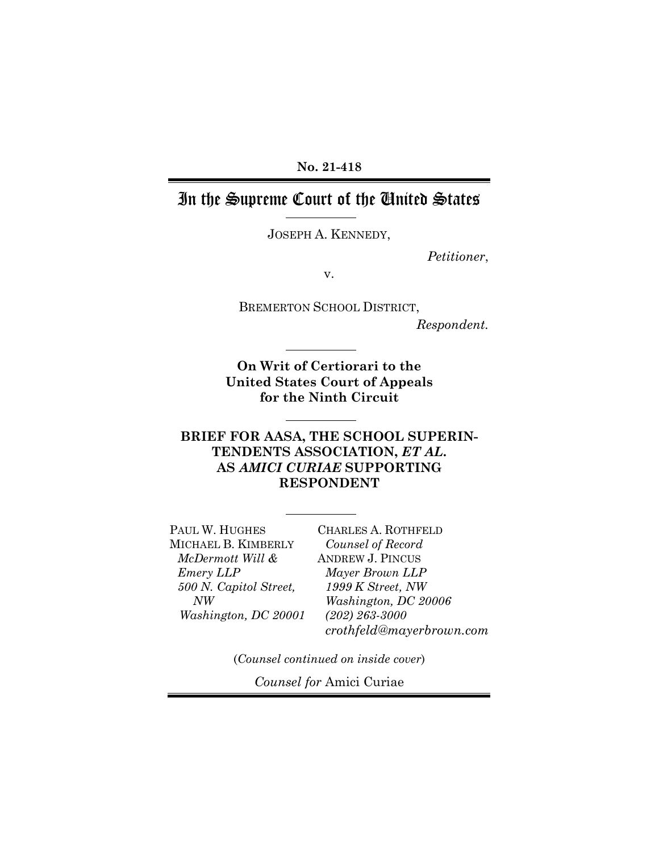**No. 21-418** 

## In the Supreme Court of the United States

JOSEPH A. KENNEDY,

*Petitioner*,

v.

BREMERTON SCHOOL DISTRICT,

*Respondent.*

**On Writ of Certiorari to the United States Court of Appeals for the Ninth Circuit** 

## **BRIEF FOR AASA, THE SCHOOL SUPERIN-TENDENTS ASSOCIATION,** *ET AL***. AS** *AMICI CURIAE* **SUPPORTING RESPONDENT**

PAUL W. HUGHES MICHAEL B. KIMBERLY *McDermott Will & Emery LLP 500 N. Capitol Street, NW Washington, DC 20001*  CHARLES A. ROTHFELD *Counsel of Record*  ANDREW J. PINCUS *Mayer Brown LLP 1999 K Street, NW Washington, DC 20006 (202) 263-3000 crothfeld@mayerbrown.com*

(*Counsel continued on inside cover*)

*Counsel for* Amici Curiae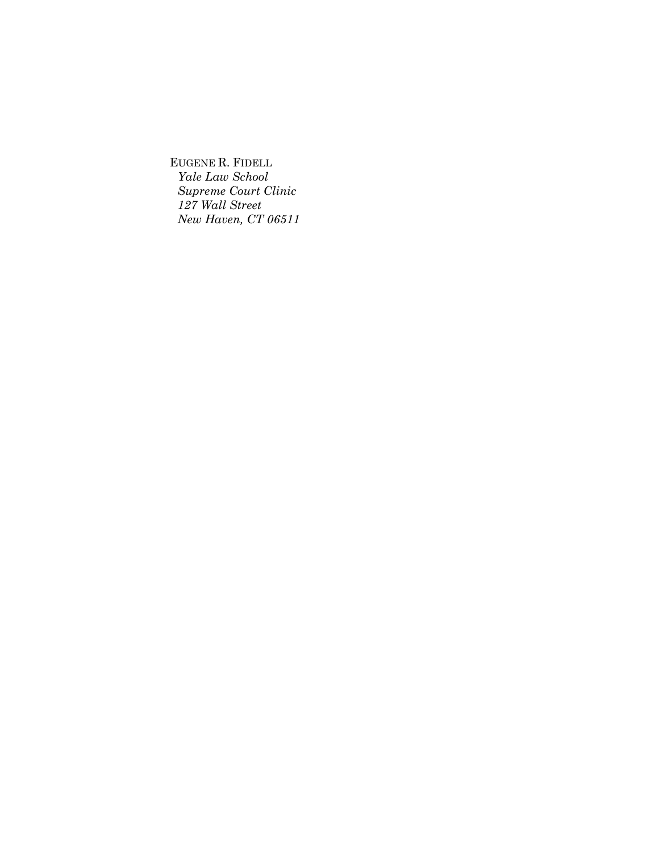EUGENE R. FIDELL *Yale Law School Supreme Court Clinic 127 Wall Street New Haven, CT 06511*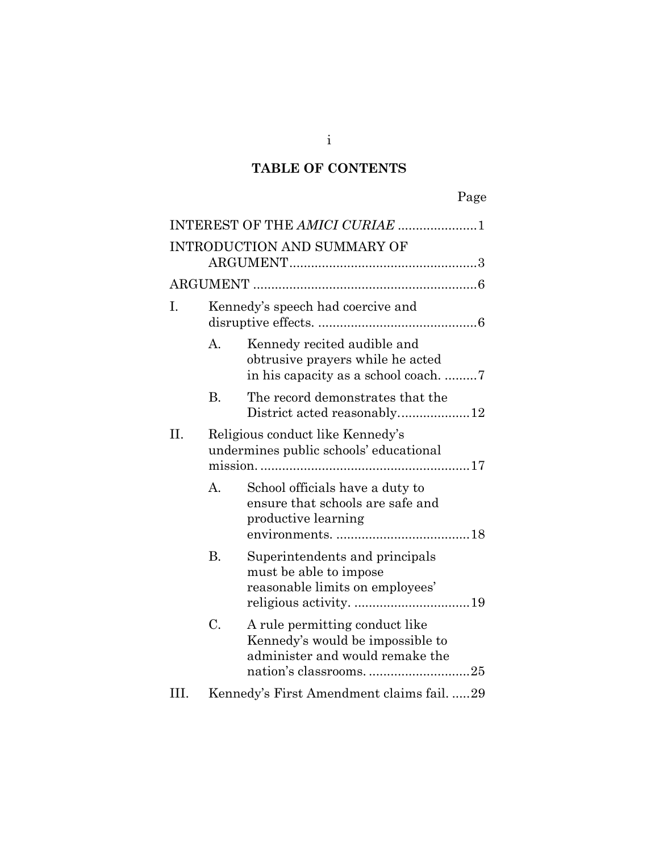## **TABLE OF CONTENTS**

|     |                                                                            | INTEREST OF THE AMICI CURIAE 1                                                                        |
|-----|----------------------------------------------------------------------------|-------------------------------------------------------------------------------------------------------|
|     |                                                                            | INTRODUCTION AND SUMMARY OF                                                                           |
|     |                                                                            |                                                                                                       |
| Ι.  | Kennedy's speech had coercive and                                          |                                                                                                       |
|     | A.                                                                         | Kennedy recited audible and<br>obtrusive prayers while he acted                                       |
|     | <b>B.</b>                                                                  | The record demonstrates that the                                                                      |
| Π.  | Religious conduct like Kennedy's<br>undermines public schools' educational |                                                                                                       |
|     | A.                                                                         | School officials have a duty to<br>ensure that schools are safe and<br>productive learning            |
|     | <b>B.</b>                                                                  | Superintendents and principals<br>must be able to impose<br>reasonable limits on employees'           |
|     | C.                                                                         | A rule permitting conduct like<br>Kennedy's would be impossible to<br>administer and would remake the |
| HТ. |                                                                            | Kennedy's First Amendment claims fail. 29                                                             |

i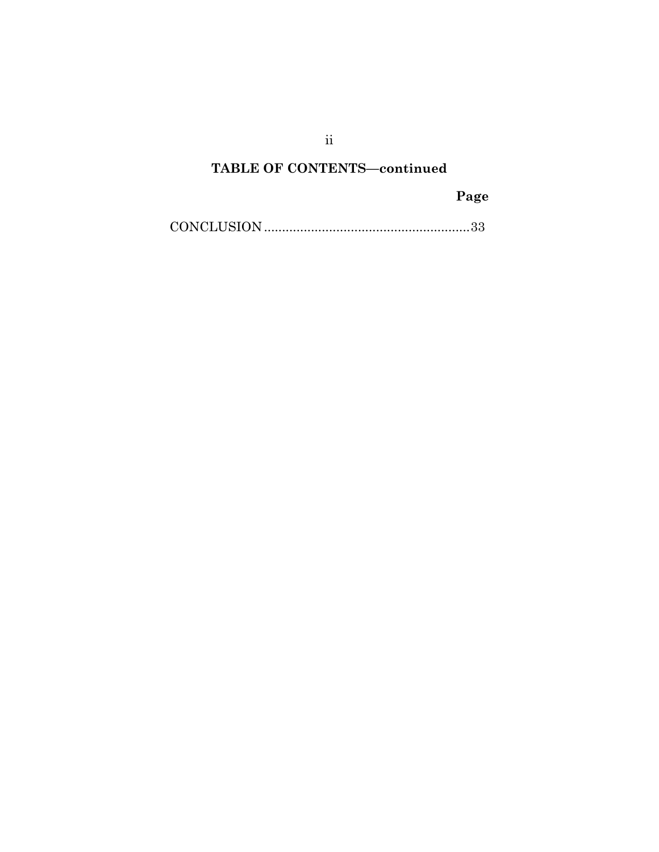**TABLE OF CONTENTS—continued** 

## **Page**

[CONCLUSION ......................................................... 33](#page-40-0)

ii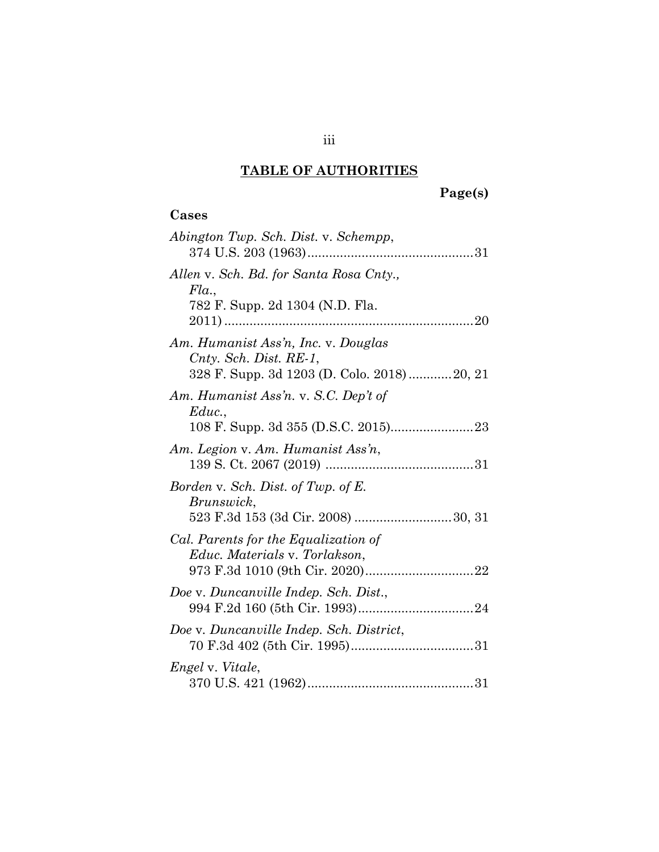# **TABLE OF AUTHORITIES**

# **Page(s)**

## **Cases**

| Abington Twp. Sch. Dist. v. Schempp,                                                                        |
|-------------------------------------------------------------------------------------------------------------|
| Allen v. Sch. Bd. for Santa Rosa Cnty.,<br>Fla.,<br>782 F. Supp. 2d 1304 (N.D. Fla.                         |
| Am. Humanist Ass'n, Inc. v. Douglas<br>Cnty. Sch. Dist. RE-1,<br>328 F. Supp. 3d 1203 (D. Colo. 2018)20, 21 |
| Am. Humanist Ass'n. v. S.C. Dep't of<br>Educ.,                                                              |
| Am. Legion v. Am. Humanist Ass'n,                                                                           |
| Borden v. Sch. Dist. of Twp. of E.<br>Brunswick,                                                            |
| Cal. Parents for the Equalization of<br>Educ. Materials v. Torlakson,                                       |
| Doe v. Duncanville Indep. Sch. Dist.,                                                                       |
| Doe v. Duncanville Indep. Sch. District,                                                                    |
| <i>Engel</i> v. <i>Vitale</i> ,                                                                             |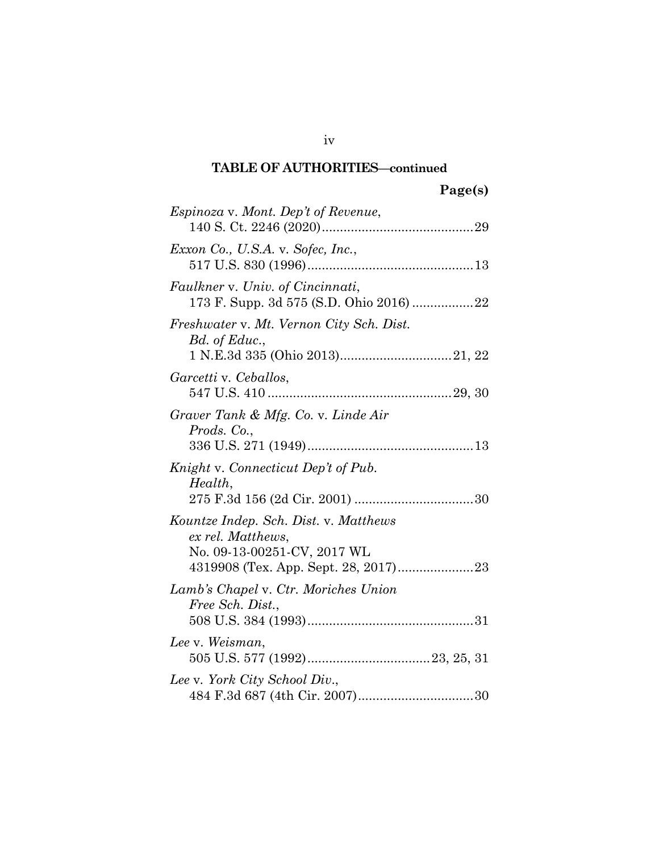## **TABLE OF AUTHORITIES—continued**

| <i>Espinoza</i> v. Mont. Dep't of Revenue,                                                |
|-------------------------------------------------------------------------------------------|
| Exxon Co., U.S.A. v. Sofec, Inc.,                                                         |
| Faulkner v. Univ. of Cincinnati,                                                          |
| Freshwater v. Mt. Vernon City Sch. Dist.<br>Bd. of Educ.,                                 |
| Garcetti v. Ceballos,                                                                     |
| Graver Tank & Mfg. Co. v. Linde Air<br>Prods. Co.,                                        |
| Knight v. Connecticut Dep't of Pub.<br>Health,                                            |
| Kountze Indep. Sch. Dist. v. Matthews<br>ex rel. Matthews,<br>No. 09-13-00251-CV, 2017 WL |
| Lamb's Chapel v. Ctr. Moriches Union<br>Free Sch. Dist.,                                  |
| Lee v. Weisman,                                                                           |
| Lee v. York City School Div.,                                                             |

iv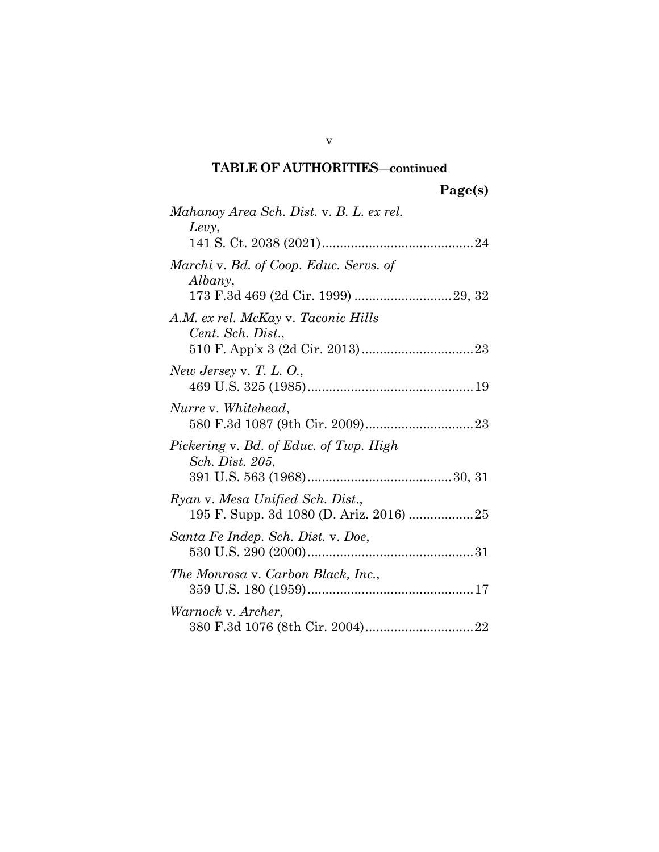## **TABLE OF AUTHORITIES—continued**

| Mahanoy Area Sch. Dist. v. B. L. ex rel.<br>Levy,                           |
|-----------------------------------------------------------------------------|
| Marchi v. Bd. of Coop. Educ. Servs. of<br>Albany,                           |
| A.M. ex rel. McKay v. Taconic Hills<br>Cent. Sch. Dist.,                    |
| New Jersey v. T. L. $O$ .,                                                  |
| Nurre v. Whitehead,                                                         |
| Pickering v. Bd. of Educ. of Twp. High<br><i>Sch. Dist. 205,</i>            |
| Ryan v. Mesa Unified Sch. Dist.,<br>195 F. Supp. 3d 1080 (D. Ariz. 2016) 25 |
| Santa Fe Indep. Sch. Dist. v. Doe,                                          |
| The Monrosa v. Carbon Black, Inc.,                                          |
| Warnock v. Archer,                                                          |

v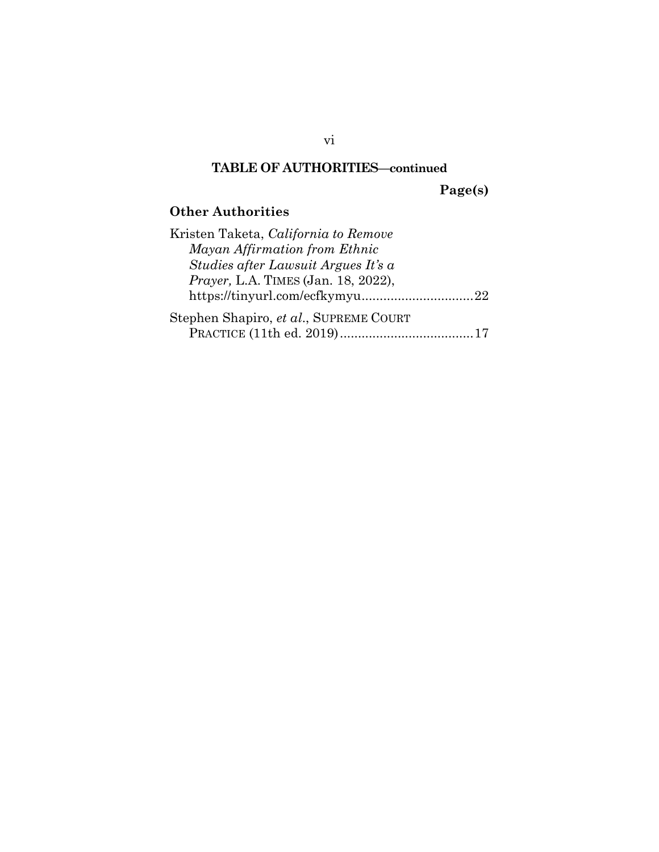## **TABLE OF AUTHORITIES—continued**

**Page(s)** 

## **Other Authorities**

| Kristen Taketa, California to Remove        |  |
|---------------------------------------------|--|
| Mayan Affirmation from Ethnic               |  |
| Studies after Lawsuit Argues It's a         |  |
| <i>Prayer</i> , L.A. TIMES (Jan. 18, 2022), |  |
|                                             |  |
| Stephen Shapiro, et al., SUPREME COURT      |  |
|                                             |  |

vi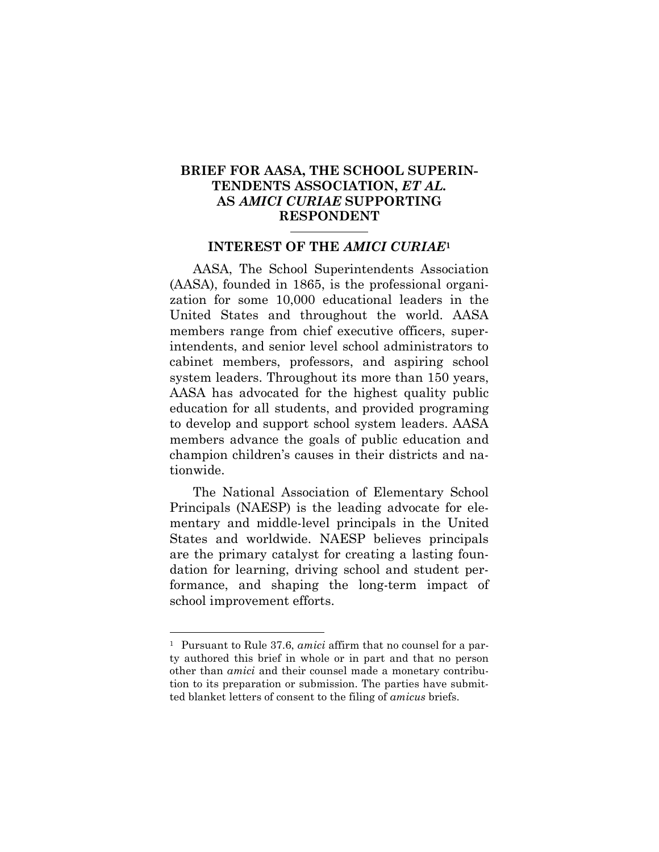## **BRIEF FOR AASA, THE SCHOOL SUPERIN-TENDENTS ASSOCIATION,** *ET AL.* **AS** *AMICI CURIAE* **SUPPORTING RESPONDENT**

#### **INTEREST OF THE** *AMICI CURIAE***<sup>1</sup>**

<span id="page-8-0"></span>AASA, The School Superintendents Association (AASA), founded in 1865, is the professional organization for some 10,000 educational leaders in the United States and throughout the world. AASA members range from chief executive officers, superintendents, and senior level school administrators to cabinet members, professors, and aspiring school system leaders. Throughout its more than 150 years, AASA has advocated for the highest quality public education for all students, and provided programing to develop and support school system leaders. AASA members advance the goals of public education and champion children's causes in their districts and nationwide.

The National Association of Elementary School Principals (NAESP) is the leading advocate for elementary and middle-level principals in the United States and worldwide. NAESP believes principals are the primary catalyst for creating a lasting foundation for learning, driving school and student performance, and shaping the long-term impact of school improvement efforts.

l

<sup>&</sup>lt;sup>1</sup> Pursuant to Rule 37.6, *amici* affirm that no counsel for a party authored this brief in whole or in part and that no person other than *amici* and their counsel made a monetary contribution to its preparation or submission. The parties have submitted blanket letters of consent to the filing of *amicus* briefs.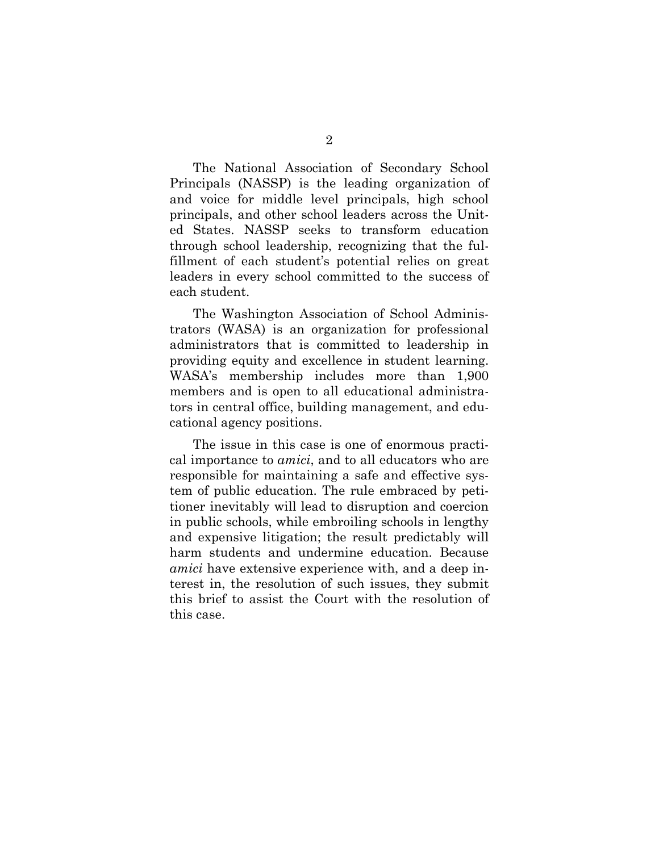The National Association of Secondary School Principals (NASSP) is the leading organization of and voice for middle level principals, high school principals, and other school leaders across the United States. NASSP seeks to transform education through school leadership, recognizing that the fulfillment of each student's potential relies on great leaders in every school committed to the success of each student.

The Washington Association of School Administrators (WASA) is an organization for professional administrators that is committed to leadership in providing equity and excellence in student learning. WASA's membership includes more than 1,900 members and is open to all educational administrators in central office, building management, and educational agency positions.

The issue in this case is one of enormous practical importance to *amici*, and to all educators who are responsible for maintaining a safe and effective system of public education. The rule embraced by petitioner inevitably will lead to disruption and coercion in public schools, while embroiling schools in lengthy and expensive litigation; the result predictably will harm students and undermine education. Because *amici* have extensive experience with, and a deep interest in, the resolution of such issues, they submit this brief to assist the Court with the resolution of this case.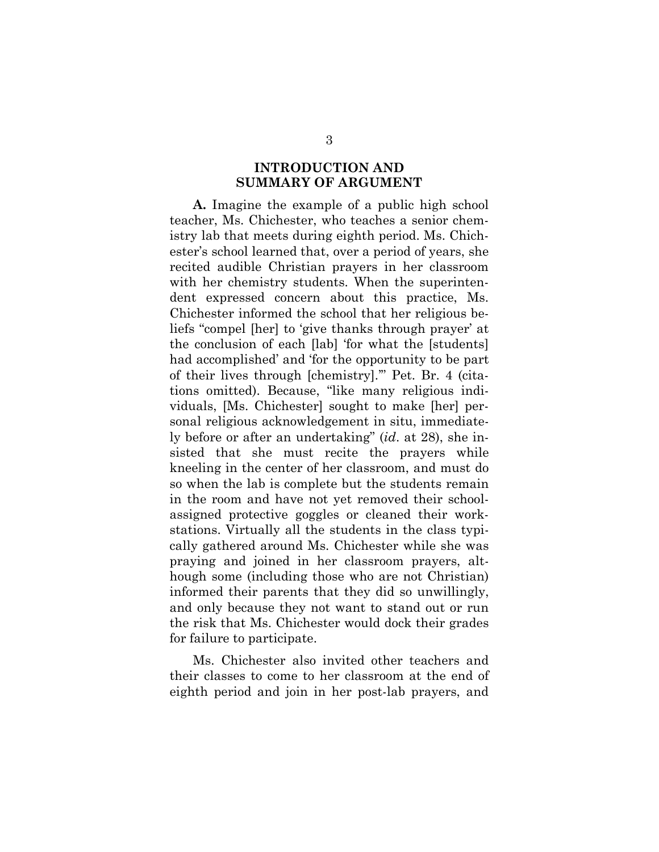## **INTRODUCTION AND SUMMARY OF ARGUMENT**

<span id="page-10-0"></span>**A.** Imagine the example of a public high school teacher, Ms. Chichester, who teaches a senior chemistry lab that meets during eighth period. Ms. Chichester's school learned that, over a period of years, she recited audible Christian prayers in her classroom with her chemistry students. When the superintendent expressed concern about this practice, Ms. Chichester informed the school that her religious beliefs "compel [her] to 'give thanks through prayer' at the conclusion of each [lab] 'for what the [students] had accomplished' and 'for the opportunity to be part of their lives through [chemistry].'" Pet. Br. 4 (citations omitted). Because, "like many religious individuals, [Ms. Chichester] sought to make [her] personal religious acknowledgement in situ, immediately before or after an undertaking" (*id*. at 28), she insisted that she must recite the prayers while kneeling in the center of her classroom, and must do so when the lab is complete but the students remain in the room and have not yet removed their schoolassigned protective goggles or cleaned their workstations. Virtually all the students in the class typically gathered around Ms. Chichester while she was praying and joined in her classroom prayers, although some (including those who are not Christian) informed their parents that they did so unwillingly, and only because they not want to stand out or run the risk that Ms. Chichester would dock their grades for failure to participate.

Ms. Chichester also invited other teachers and their classes to come to her classroom at the end of eighth period and join in her post-lab prayers, and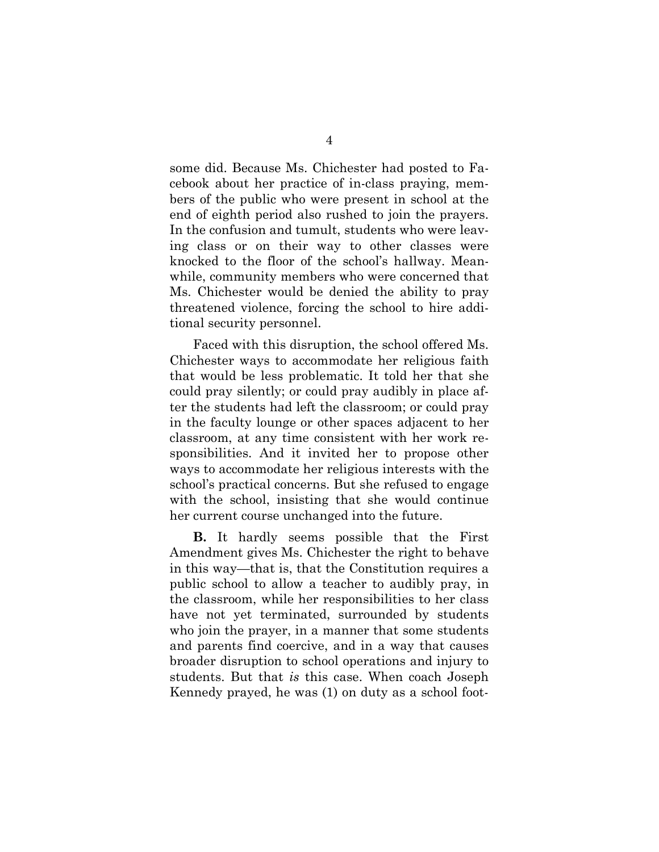some did. Because Ms. Chichester had posted to Facebook about her practice of in-class praying, members of the public who were present in school at the end of eighth period also rushed to join the prayers. In the confusion and tumult, students who were leaving class or on their way to other classes were knocked to the floor of the school's hallway. Meanwhile, community members who were concerned that Ms. Chichester would be denied the ability to pray threatened violence, forcing the school to hire additional security personnel.

Faced with this disruption, the school offered Ms. Chichester ways to accommodate her religious faith that would be less problematic. It told her that she could pray silently; or could pray audibly in place after the students had left the classroom; or could pray in the faculty lounge or other spaces adjacent to her classroom, at any time consistent with her work responsibilities. And it invited her to propose other ways to accommodate her religious interests with the school's practical concerns. But she refused to engage with the school, insisting that she would continue her current course unchanged into the future.

**B.** It hardly seems possible that the First Amendment gives Ms. Chichester the right to behave in this way—that is, that the Constitution requires a public school to allow a teacher to audibly pray, in the classroom, while her responsibilities to her class have not yet terminated, surrounded by students who join the prayer, in a manner that some students and parents find coercive, and in a way that causes broader disruption to school operations and injury to students. But that *is* this case. When coach Joseph Kennedy prayed, he was (1) on duty as a school foot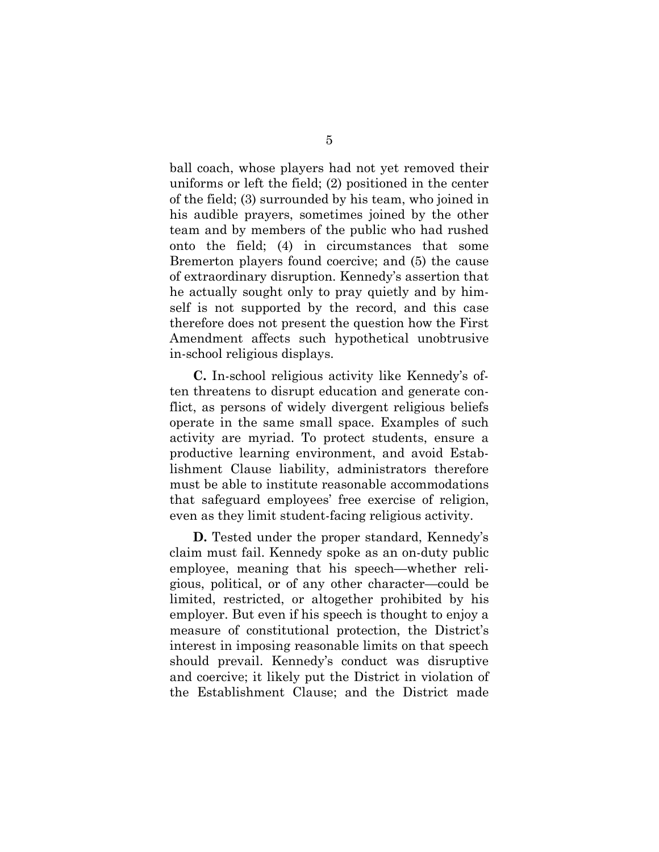ball coach, whose players had not yet removed their uniforms or left the field; (2) positioned in the center of the field; (3) surrounded by his team, who joined in his audible prayers, sometimes joined by the other team and by members of the public who had rushed onto the field; (4) in circumstances that some Bremerton players found coercive; and (5) the cause of extraordinary disruption. Kennedy's assertion that he actually sought only to pray quietly and by himself is not supported by the record, and this case therefore does not present the question how the First Amendment affects such hypothetical unobtrusive in-school religious displays.

**C.** In-school religious activity like Kennedy's often threatens to disrupt education and generate conflict, as persons of widely divergent religious beliefs operate in the same small space. Examples of such activity are myriad. To protect students, ensure a productive learning environment, and avoid Establishment Clause liability, administrators therefore must be able to institute reasonable accommodations that safeguard employees' free exercise of religion, even as they limit student-facing religious activity.

**D.** Tested under the proper standard, Kennedy's claim must fail. Kennedy spoke as an on-duty public employee, meaning that his speech—whether religious, political, or of any other character—could be limited, restricted, or altogether prohibited by his employer. But even if his speech is thought to enjoy a measure of constitutional protection, the District's interest in imposing reasonable limits on that speech should prevail. Kennedy's conduct was disruptive and coercive; it likely put the District in violation of the Establishment Clause; and the District made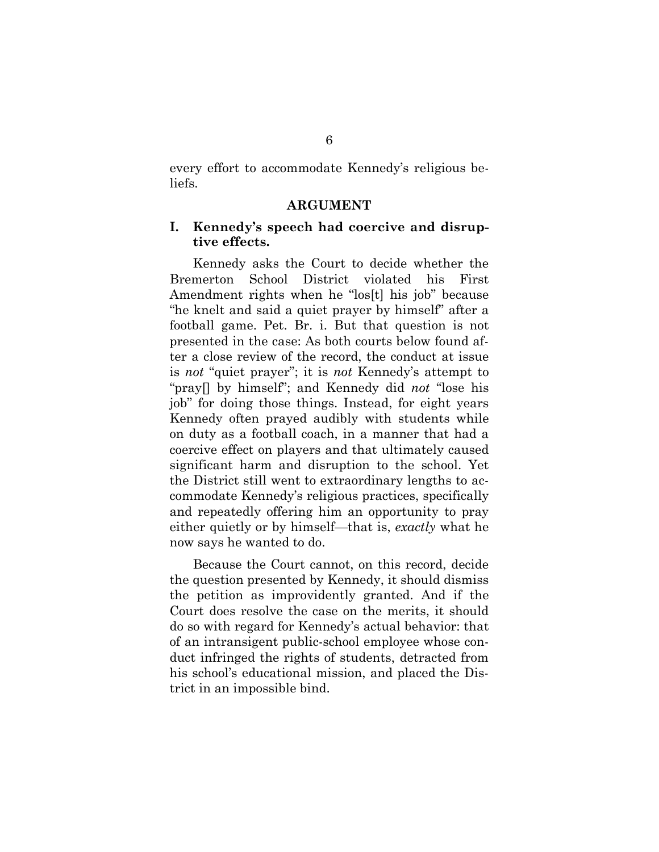every effort to accommodate Kennedy's religious beliefs.

#### **ARGUMENT**

#### <span id="page-13-1"></span><span id="page-13-0"></span>**I. Kennedy's speech had coercive and disruptive effects.**

Kennedy asks the Court to decide whether the Bremerton School District violated his First Amendment rights when he "los[t] his job" because "he knelt and said a quiet prayer by himself" after a football game. Pet. Br. i. But that question is not presented in the case: As both courts below found after a close review of the record, the conduct at issue is *not* "quiet prayer"; it is *not* Kennedy's attempt to "pray[] by himself"; and Kennedy did *not* "lose his job" for doing those things. Instead, for eight years Kennedy often prayed audibly with students while on duty as a football coach, in a manner that had a coercive effect on players and that ultimately caused significant harm and disruption to the school. Yet the District still went to extraordinary lengths to accommodate Kennedy's religious practices, specifically and repeatedly offering him an opportunity to pray either quietly or by himself—that is, *exactly* what he now says he wanted to do.

Because the Court cannot, on this record, decide the question presented by Kennedy, it should dismiss the petition as improvidently granted. And if the Court does resolve the case on the merits, it should do so with regard for Kennedy's actual behavior: that of an intransigent public-school employee whose conduct infringed the rights of students, detracted from his school's educational mission, and placed the District in an impossible bind.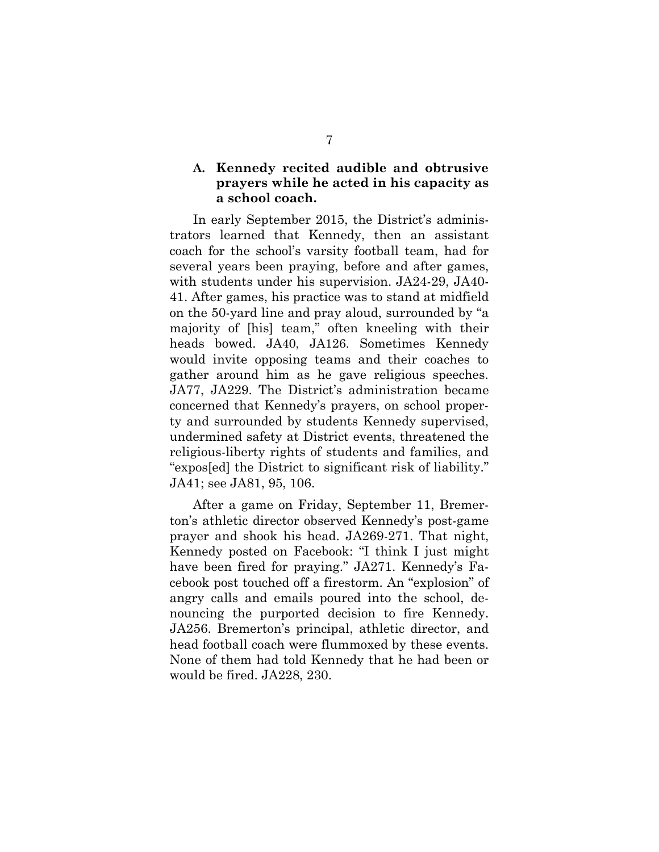## <span id="page-14-0"></span>**A. Kennedy recited audible and obtrusive prayers while he acted in his capacity as a school coach.**

In early September 2015, the District's administrators learned that Kennedy, then an assistant coach for the school's varsity football team, had for several years been praying, before and after games, with students under his supervision. JA24-29, JA40- 41. After games, his practice was to stand at midfield on the 50-yard line and pray aloud, surrounded by "a majority of [his] team," often kneeling with their heads bowed. JA40, JA126. Sometimes Kennedy would invite opposing teams and their coaches to gather around him as he gave religious speeches. JA77, JA229. The District's administration became concerned that Kennedy's prayers, on school property and surrounded by students Kennedy supervised, undermined safety at District events, threatened the religious-liberty rights of students and families, and "expos[ed] the District to significant risk of liability." JA41; see JA81, 95, 106.

After a game on Friday, September 11, Bremerton's athletic director observed Kennedy's post-game prayer and shook his head. JA269-271. That night, Kennedy posted on Facebook: "I think I just might have been fired for praying." JA271. Kennedy's Facebook post touched off a firestorm. An "explosion" of angry calls and emails poured into the school, denouncing the purported decision to fire Kennedy. JA256. Bremerton's principal, athletic director, and head football coach were flummoxed by these events. None of them had told Kennedy that he had been or would be fired. JA228, 230.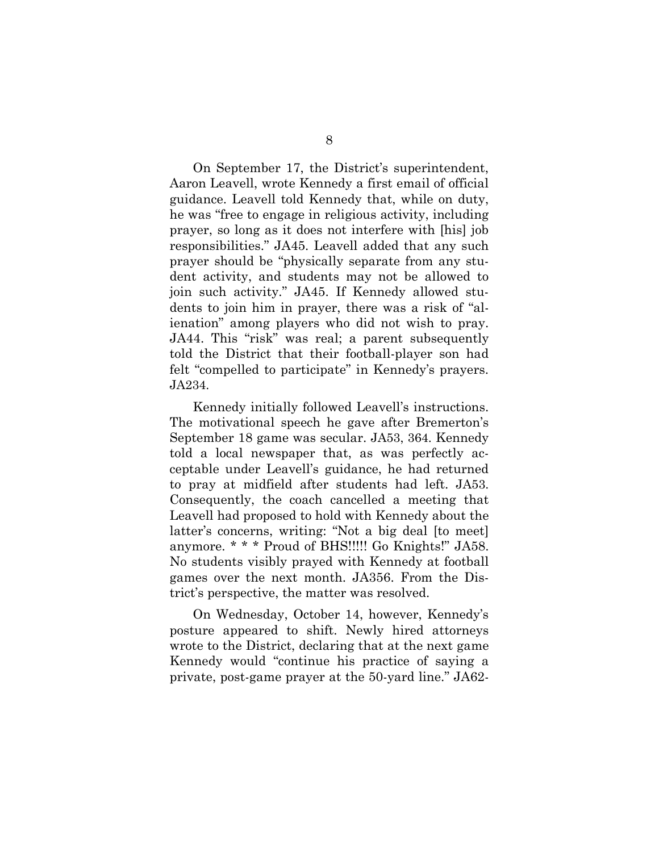On September 17, the District's superintendent, Aaron Leavell, wrote Kennedy a first email of official guidance. Leavell told Kennedy that, while on duty, he was "free to engage in religious activity, including prayer, so long as it does not interfere with [his] job responsibilities." JA45. Leavell added that any such prayer should be "physically separate from any student activity, and students may not be allowed to join such activity." JA45. If Kennedy allowed students to join him in prayer, there was a risk of "alienation" among players who did not wish to pray. JA44. This "risk" was real; a parent subsequently told the District that their football-player son had felt "compelled to participate" in Kennedy's prayers. JA234.

Kennedy initially followed Leavell's instructions. The motivational speech he gave after Bremerton's September 18 game was secular. JA53, 364. Kennedy told a local newspaper that, as was perfectly acceptable under Leavell's guidance, he had returned to pray at midfield after students had left. JA53. Consequently, the coach cancelled a meeting that Leavell had proposed to hold with Kennedy about the latter's concerns, writing: "Not a big deal [to meet] anymore. \* \* \* Proud of BHS!!!!! Go Knights!" JA58. No students visibly prayed with Kennedy at football games over the next month. JA356. From the District's perspective, the matter was resolved.

On Wednesday, October 14, however, Kennedy's posture appeared to shift. Newly hired attorneys wrote to the District, declaring that at the next game Kennedy would "continue his practice of saying a private, post-game prayer at the 50-yard line." JA62-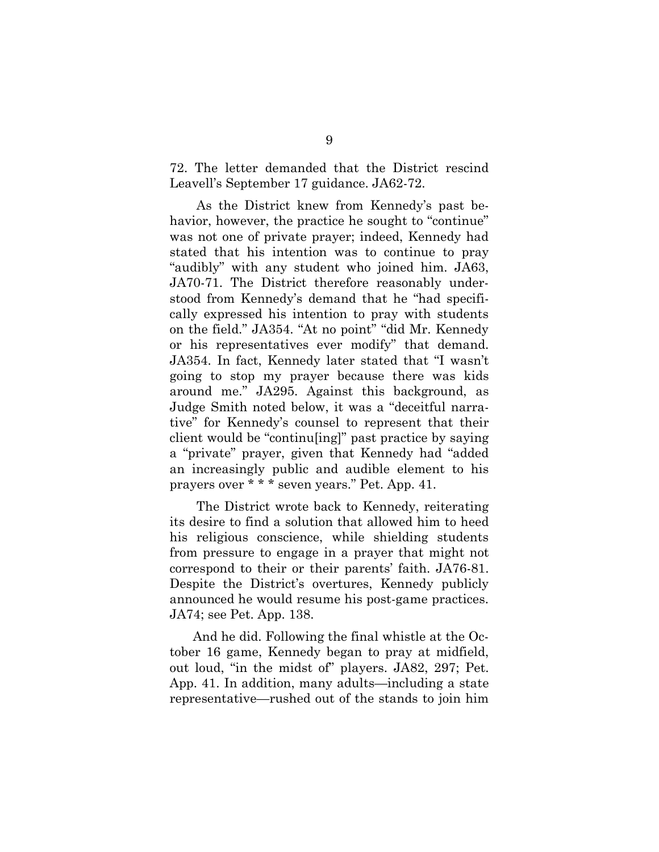72. The letter demanded that the District rescind Leavell's September 17 guidance. JA62-72.

 As the District knew from Kennedy's past behavior, however, the practice he sought to "continue" was not one of private prayer; indeed, Kennedy had stated that his intention was to continue to pray "audibly" with any student who joined him. JA63, JA70-71. The District therefore reasonably understood from Kennedy's demand that he "had specifically expressed his intention to pray with students on the field." JA354. "At no point" "did Mr. Kennedy or his representatives ever modify" that demand. JA354. In fact, Kennedy later stated that "I wasn't going to stop my prayer because there was kids around me." JA295. Against this background, as Judge Smith noted below, it was a "deceitful narrative" for Kennedy's counsel to represent that their client would be "continu[ing]" past practice by saying a "private" prayer, given that Kennedy had "added an increasingly public and audible element to his prayers over \* \* \* seven years." Pet. App. 41.

 The District wrote back to Kennedy, reiterating its desire to find a solution that allowed him to heed his religious conscience, while shielding students from pressure to engage in a prayer that might not correspond to their or their parents' faith. JA76-81. Despite the District's overtures, Kennedy publicly announced he would resume his post-game practices. JA74; see Pet. App. 138.

And he did. Following the final whistle at the October 16 game, Kennedy began to pray at midfield, out loud, "in the midst of" players. JA82, 297; Pet. App. 41. In addition, many adults—including a state representative—rushed out of the stands to join him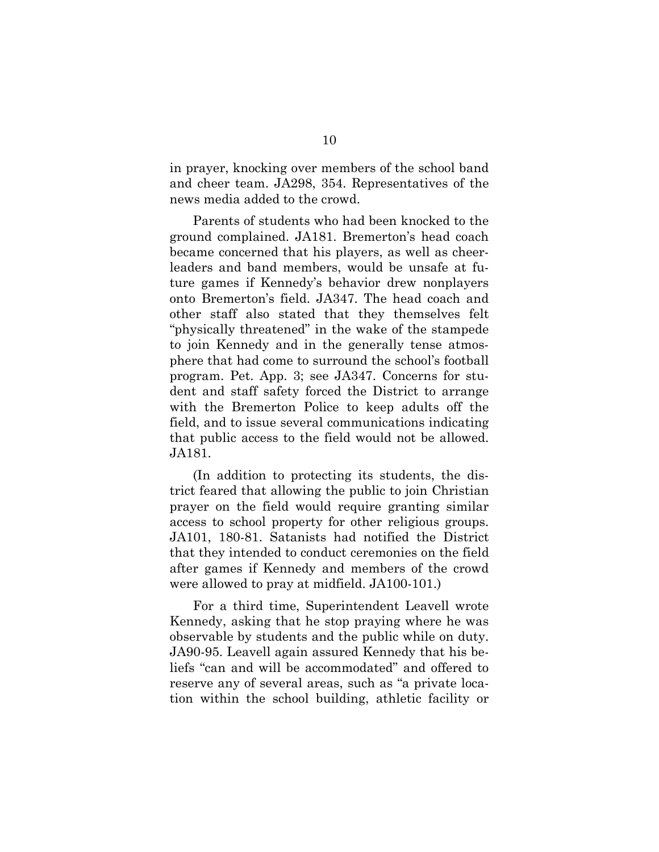in prayer, knocking over members of the school band and cheer team. JA298, 354. Representatives of the news media added to the crowd.

Parents of students who had been knocked to the ground complained. JA181. Bremerton's head coach became concerned that his players, as well as cheerleaders and band members, would be unsafe at future games if Kennedy's behavior drew nonplayers onto Bremerton's field. JA347. The head coach and other staff also stated that they themselves felt "physically threatened" in the wake of the stampede to join Kennedy and in the generally tense atmosphere that had come to surround the school's football program. Pet. App. 3; see JA347. Concerns for student and staff safety forced the District to arrange with the Bremerton Police to keep adults off the field, and to issue several communications indicating that public access to the field would not be allowed. JA181.

(In addition to protecting its students, the district feared that allowing the public to join Christian prayer on the field would require granting similar access to school property for other religious groups. JA101, 180-81. Satanists had notified the District that they intended to conduct ceremonies on the field after games if Kennedy and members of the crowd were allowed to pray at midfield. JA100-101.)

For a third time, Superintendent Leavell wrote Kennedy, asking that he stop praying where he was observable by students and the public while on duty. JA90-95. Leavell again assured Kennedy that his beliefs "can and will be accommodated" and offered to reserve any of several areas, such as "a private location within the school building, athletic facility or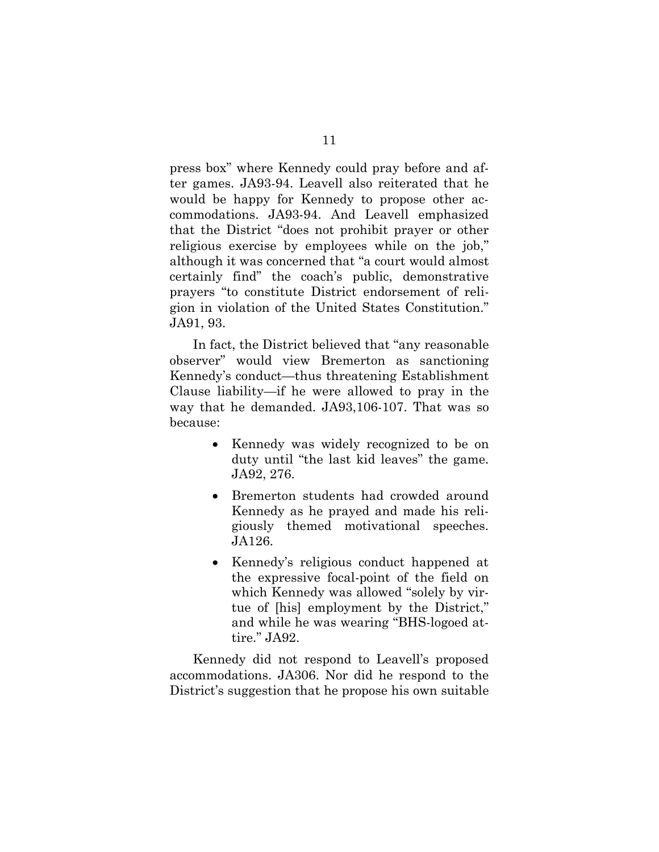press box" where Kennedy could pray before and after games. JA93-94. Leavell also reiterated that he would be happy for Kennedy to propose other accommodations. JA93-94. And Leavell emphasized that the District "does not prohibit prayer or other religious exercise by employees while on the job," although it was concerned that "a court would almost certainly find" the coach's public, demonstrative prayers "to constitute District endorsement of religion in violation of the United States Constitution." JA91, 93.

In fact, the District believed that "any reasonable observer" would view Bremerton as sanctioning Kennedy's conduct—thus threatening Establishment Clause liability—if he were allowed to pray in the way that he demanded. JA93,106-107. That was so because:

- Kennedy was widely recognized to be on duty until "the last kid leaves" the game. JA92, 276.
- Bremerton students had crowded around Kennedy as he prayed and made his religiously themed motivational speeches. JA126.
- Kennedy's religious conduct happened at the expressive focal-point of the field on which Kennedy was allowed "solely by virtue of [his] employment by the District," and while he was wearing "BHS-logoed attire." JA92.

Kennedy did not respond to Leavell's proposed accommodations. JA306. Nor did he respond to the District's suggestion that he propose his own suitable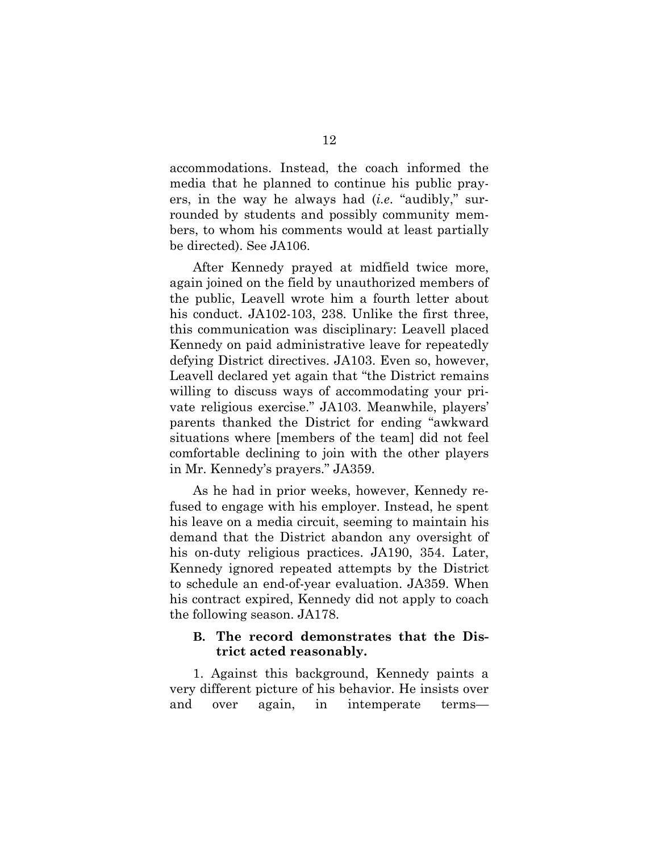accommodations. Instead, the coach informed the media that he planned to continue his public prayers, in the way he always had (*i.e*. "audibly," surrounded by students and possibly community members, to whom his comments would at least partially be directed). See JA106.

After Kennedy prayed at midfield twice more, again joined on the field by unauthorized members of the public, Leavell wrote him a fourth letter about his conduct. JA102-103, 238. Unlike the first three, this communication was disciplinary: Leavell placed Kennedy on paid administrative leave for repeatedly defying District directives. JA103. Even so, however, Leavell declared yet again that "the District remains willing to discuss ways of accommodating your private religious exercise." JA103. Meanwhile, players' parents thanked the District for ending "awkward situations where [members of the team] did not feel comfortable declining to join with the other players in Mr. Kennedy's prayers." JA359.

As he had in prior weeks, however, Kennedy refused to engage with his employer. Instead, he spent his leave on a media circuit, seeming to maintain his demand that the District abandon any oversight of his on-duty religious practices. JA190, 354. Later, Kennedy ignored repeated attempts by the District to schedule an end-of-year evaluation. JA359. When his contract expired, Kennedy did not apply to coach the following season. JA178.

#### <span id="page-19-0"></span>**B. The record demonstrates that the District acted reasonably.**

1. Against this background, Kennedy paints a very different picture of his behavior. He insists over and over again, in intemperate terms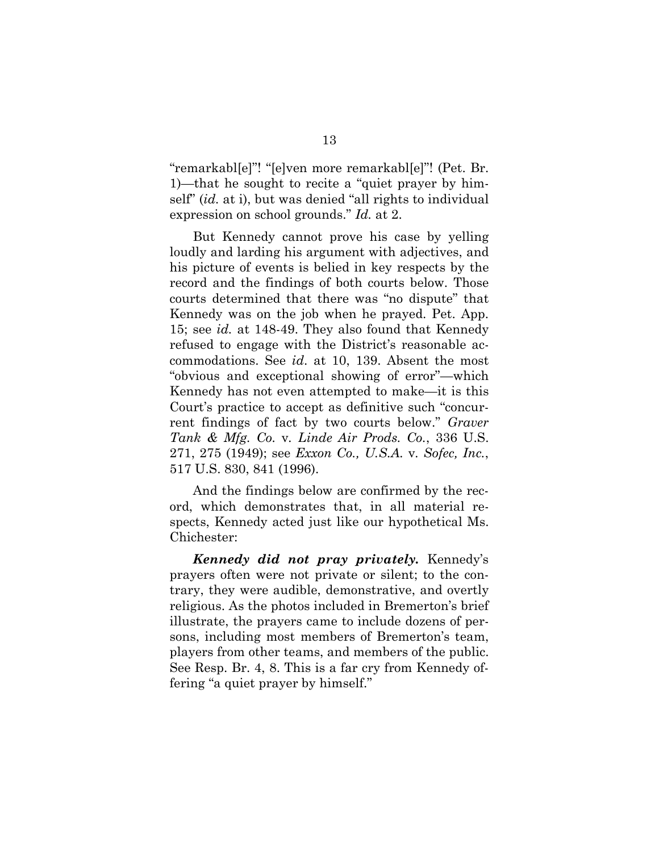"remarkabl[e]"! "[e]ven more remarkabl[e]"! (Pet. Br. 1)—that he sought to recite a "quiet prayer by himself" (*id.* at i), but was denied "all rights to individual expression on school grounds." *Id.* at 2.

But Kennedy cannot prove his case by yelling loudly and larding his argument with adjectives, and his picture of events is belied in key respects by the record and the findings of both courts below. Those courts determined that there was "no dispute" that Kennedy was on the job when he prayed. Pet. App. 15; see *id.* at 148-49. They also found that Kennedy refused to engage with the District's reasonable accommodations. See *id*. at 10, 139. Absent the most "obvious and exceptional showing of error"—which Kennedy has not even attempted to make—it is this Court's practice to accept as definitive such "concurrent findings of fact by two courts below." *Graver Tank & Mfg. Co.* v*. Linde Air Prods. Co.*, 336 U.S. 271, 275 (1949); see *Exxon Co., U.S.A.* v*. Sofec, Inc.*, 517 U.S. 830, 841 (1996).

<span id="page-20-1"></span><span id="page-20-0"></span>And the findings below are confirmed by the record, which demonstrates that, in all material respects, Kennedy acted just like our hypothetical Ms. Chichester:

*Kennedy did not pray privately.* Kennedy's prayers often were not private or silent; to the contrary, they were audible, demonstrative, and overtly religious. As the photos included in Bremerton's brief illustrate, the prayers came to include dozens of persons, including most members of Bremerton's team, players from other teams, and members of the public. See Resp. Br. 4, 8. This is a far cry from Kennedy offering "a quiet prayer by himself."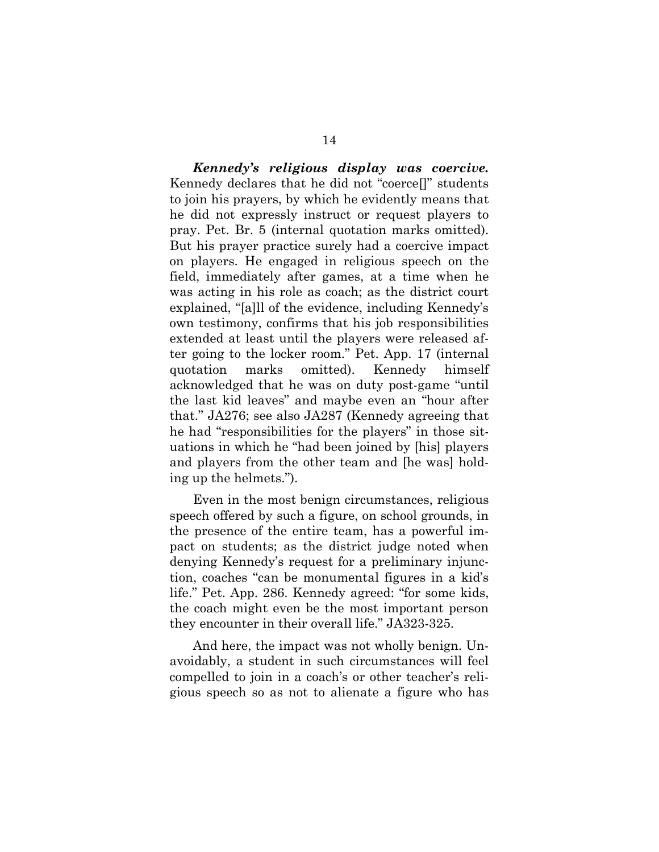*Kennedy's religious display was coercive.* Kennedy declares that he did not "coerce[]" students to join his prayers, by which he evidently means that he did not expressly instruct or request players to pray. Pet. Br. 5 (internal quotation marks omitted). But his prayer practice surely had a coercive impact on players. He engaged in religious speech on the field, immediately after games, at a time when he was acting in his role as coach; as the district court explained, "[a]ll of the evidence, including Kennedy's own testimony, confirms that his job responsibilities extended at least until the players were released after going to the locker room." Pet. App. 17 (internal quotation marks omitted). Kennedy himself acknowledged that he was on duty post-game "until the last kid leaves" and maybe even an "hour after that." JA276; see also JA287 (Kennedy agreeing that he had "responsibilities for the players" in those situations in which he "had been joined by [his] players and players from the other team and [he was] holding up the helmets.").

Even in the most benign circumstances, religious speech offered by such a figure, on school grounds, in the presence of the entire team, has a powerful impact on students; as the district judge noted when denying Kennedy's request for a preliminary injunction, coaches "can be monumental figures in a kid's life." Pet. App. 286. Kennedy agreed: "for some kids, the coach might even be the most important person they encounter in their overall life." JA323-325.

And here, the impact was not wholly benign. Unavoidably, a student in such circumstances will feel compelled to join in a coach's or other teacher's religious speech so as not to alienate a figure who has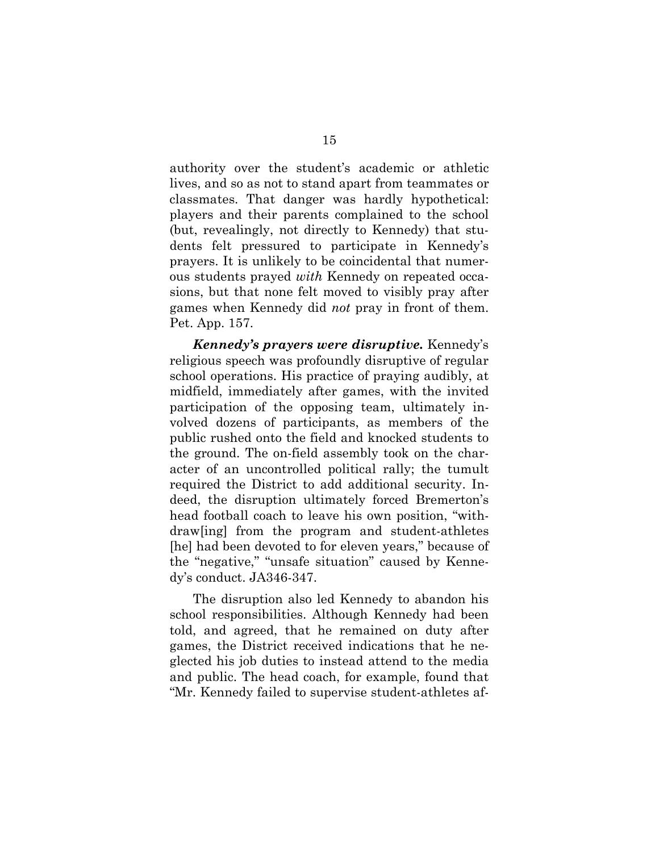authority over the student's academic or athletic lives, and so as not to stand apart from teammates or classmates. That danger was hardly hypothetical: players and their parents complained to the school (but, revealingly, not directly to Kennedy) that students felt pressured to participate in Kennedy's prayers. It is unlikely to be coincidental that numerous students prayed *with* Kennedy on repeated occasions, but that none felt moved to visibly pray after games when Kennedy did *not* pray in front of them. Pet. App. 157.

*Kennedy's prayers were disruptive.* Kennedy's religious speech was profoundly disruptive of regular school operations. His practice of praying audibly, at midfield, immediately after games, with the invited participation of the opposing team, ultimately involved dozens of participants, as members of the public rushed onto the field and knocked students to the ground. The on-field assembly took on the character of an uncontrolled political rally; the tumult required the District to add additional security. Indeed, the disruption ultimately forced Bremerton's head football coach to leave his own position, "withdraw[ing] from the program and student-athletes [he] had been devoted to for eleven years," because of the "negative," "unsafe situation" caused by Kennedy's conduct. JA346-347.

The disruption also led Kennedy to abandon his school responsibilities. Although Kennedy had been told, and agreed, that he remained on duty after games, the District received indications that he neglected his job duties to instead attend to the media and public. The head coach, for example, found that "Mr. Kennedy failed to supervise student-athletes af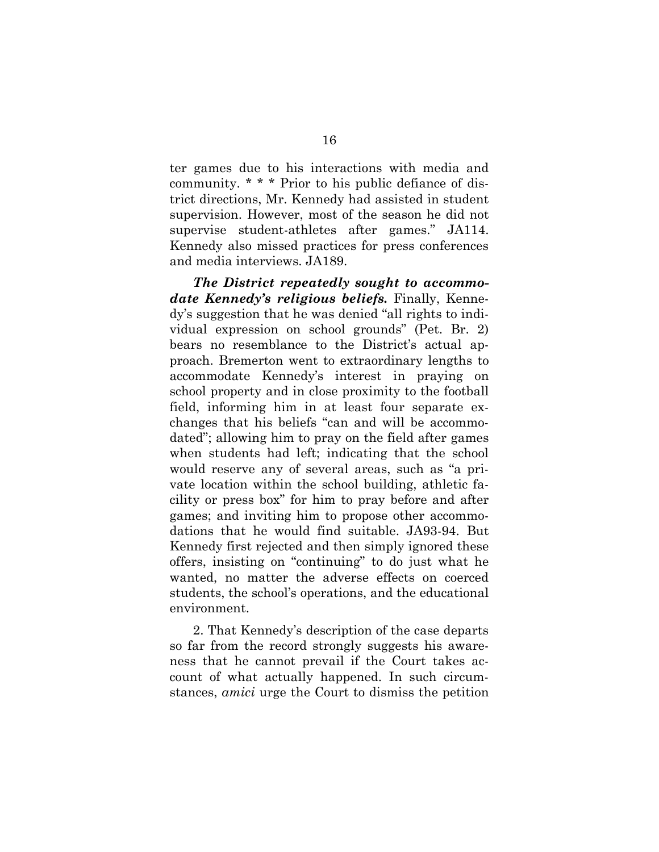ter games due to his interactions with media and community. \* \* \* Prior to his public defiance of district directions, Mr. Kennedy had assisted in student supervision. However, most of the season he did not supervise student-athletes after games." JA114. Kennedy also missed practices for press conferences and media interviews. JA189.

*The District repeatedly sought to accommodate Kennedy's religious beliefs.* Finally, Kennedy's suggestion that he was denied "all rights to individual expression on school grounds" (Pet. Br. 2) bears no resemblance to the District's actual approach. Bremerton went to extraordinary lengths to accommodate Kennedy's interest in praying on school property and in close proximity to the football field, informing him in at least four separate exchanges that his beliefs "can and will be accommodated"; allowing him to pray on the field after games when students had left; indicating that the school would reserve any of several areas, such as "a private location within the school building, athletic facility or press box" for him to pray before and after games; and inviting him to propose other accommodations that he would find suitable. JA93-94. But Kennedy first rejected and then simply ignored these offers, insisting on "continuing" to do just what he wanted, no matter the adverse effects on coerced students, the school's operations, and the educational environment.

2. That Kennedy's description of the case departs so far from the record strongly suggests his awareness that he cannot prevail if the Court takes account of what actually happened. In such circumstances, *amici* urge the Court to dismiss the petition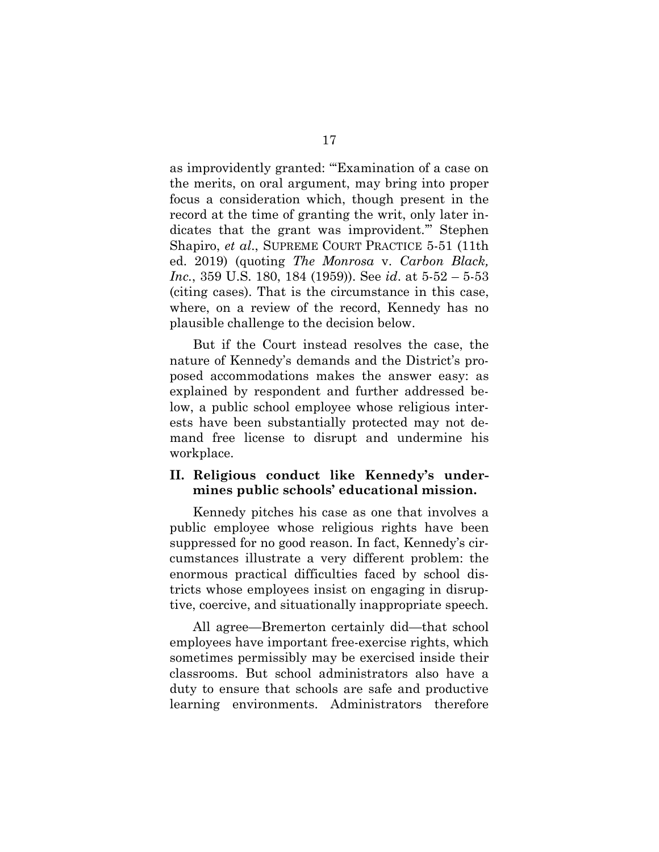<span id="page-24-2"></span>as improvidently granted: "'Examination of a case on the merits, on oral argument, may bring into proper focus a consideration which, though present in the record at the time of granting the writ, only later indicates that the grant was improvident.'" Stephen Shapiro, *et al*., SUPREME COURT PRACTICE 5-51 (11th ed. 2019) (quoting *The Monrosa* v. *Carbon Black, Inc.*, 359 U.S. 180, 184 (1959)). See *id*. at 5-52 – 5-53 (citing cases). That is the circumstance in this case, where, on a review of the record, Kennedy has no plausible challenge to the decision below.

<span id="page-24-1"></span>But if the Court instead resolves the case, the nature of Kennedy's demands and the District's proposed accommodations makes the answer easy: as explained by respondent and further addressed below, a public school employee whose religious interests have been substantially protected may not demand free license to disrupt and undermine his workplace.

### <span id="page-24-0"></span>**II. Religious conduct like Kennedy's undermines public schools' educational mission.**

Kennedy pitches his case as one that involves a public employee whose religious rights have been suppressed for no good reason. In fact, Kennedy's circumstances illustrate a very different problem: the enormous practical difficulties faced by school districts whose employees insist on engaging in disruptive, coercive, and situationally inappropriate speech.

All agree—Bremerton certainly did—that school employees have important free-exercise rights, which sometimes permissibly may be exercised inside their classrooms. But school administrators also have a duty to ensure that schools are safe and productive learning environments. Administrators therefore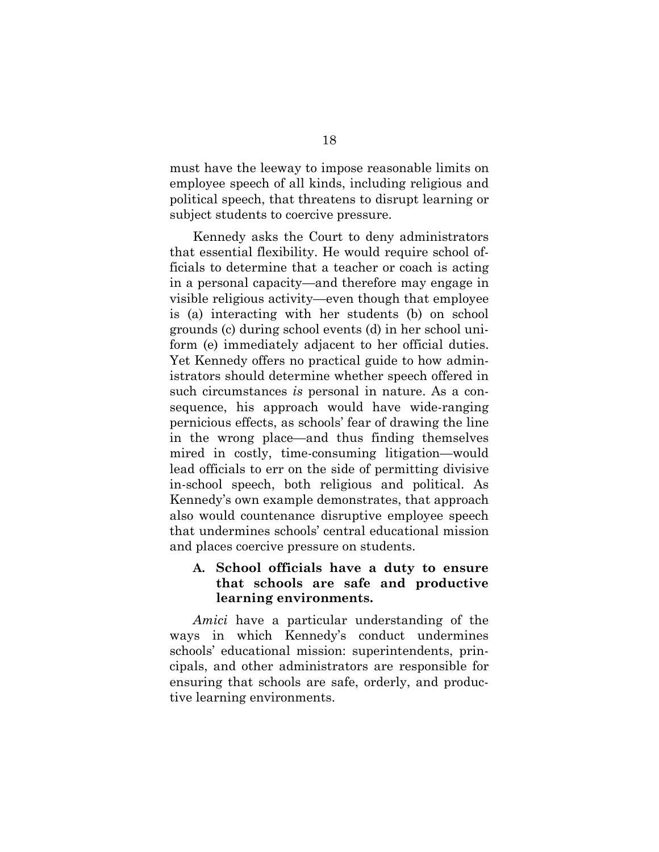must have the leeway to impose reasonable limits on employee speech of all kinds, including religious and political speech, that threatens to disrupt learning or subject students to coercive pressure.

Kennedy asks the Court to deny administrators that essential flexibility. He would require school officials to determine that a teacher or coach is acting in a personal capacity—and therefore may engage in visible religious activity—even though that employee is (a) interacting with her students (b) on school grounds (c) during school events (d) in her school uniform (e) immediately adjacent to her official duties. Yet Kennedy offers no practical guide to how administrators should determine whether speech offered in such circumstances *is* personal in nature. As a consequence, his approach would have wide-ranging pernicious effects, as schools' fear of drawing the line in the wrong place—and thus finding themselves mired in costly, time-consuming litigation—would lead officials to err on the side of permitting divisive in-school speech, both religious and political. As Kennedy's own example demonstrates, that approach also would countenance disruptive employee speech that undermines schools' central educational mission and places coercive pressure on students.

## <span id="page-25-0"></span>**A. School officials have a duty to ensure that schools are safe and productive learning environments.**

*Amici* have a particular understanding of the ways in which Kennedy's conduct undermines schools' educational mission: superintendents, principals, and other administrators are responsible for ensuring that schools are safe, orderly, and productive learning environments.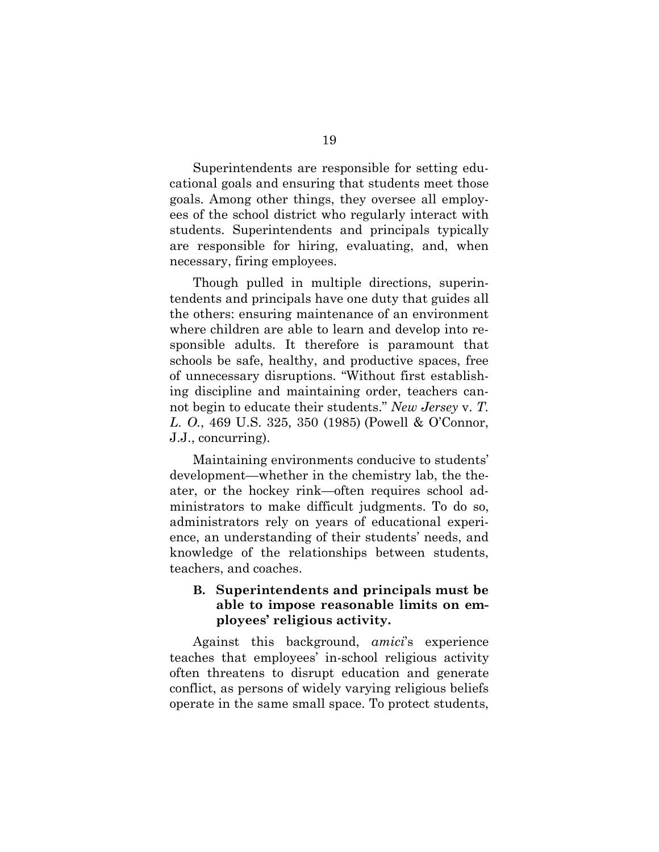Superintendents are responsible for setting educational goals and ensuring that students meet those goals. Among other things, they oversee all employees of the school district who regularly interact with students. Superintendents and principals typically are responsible for hiring, evaluating, and, when necessary, firing employees.

Though pulled in multiple directions, superintendents and principals have one duty that guides all the others: ensuring maintenance of an environment where children are able to learn and develop into responsible adults. It therefore is paramount that schools be safe, healthy, and productive spaces, free of unnecessary disruptions. "Without first establishing discipline and maintaining order, teachers cannot begin to educate their students." *New Jersey* v. *T. L. O.*, 469 U.S. 325, 350 (1985) (Powell & O'Connor, J.J., concurring).

<span id="page-26-1"></span>Maintaining environments conducive to students' development—whether in the chemistry lab, the theater, or the hockey rink—often requires school administrators to make difficult judgments. To do so, administrators rely on years of educational experience, an understanding of their students' needs, and knowledge of the relationships between students, teachers, and coaches.

### <span id="page-26-0"></span>**B. Superintendents and principals must be able to impose reasonable limits on employees' religious activity.**

Against this background, *amici*'s experience teaches that employees' in-school religious activity often threatens to disrupt education and generate conflict, as persons of widely varying religious beliefs operate in the same small space. To protect students,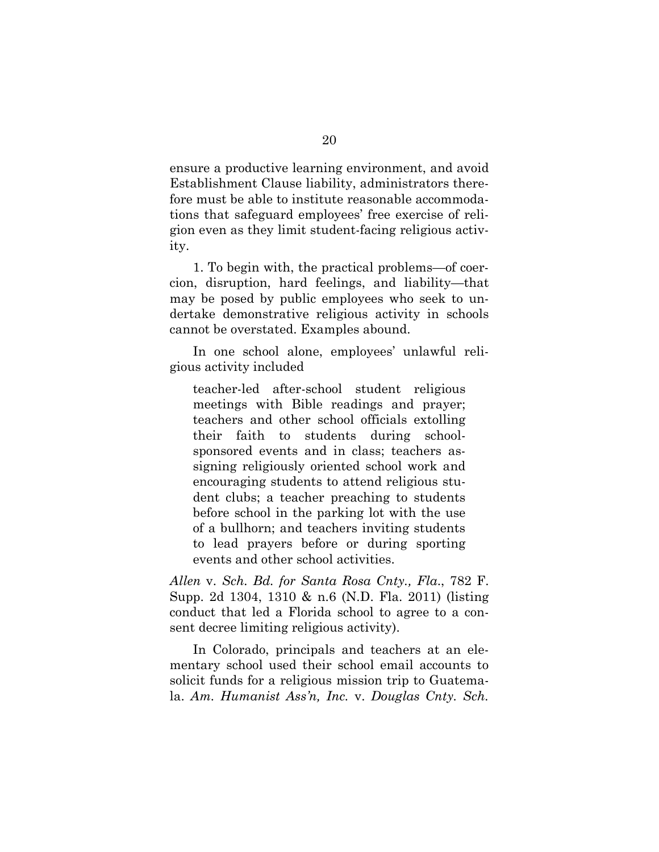ensure a productive learning environment, and avoid Establishment Clause liability, administrators therefore must be able to institute reasonable accommodations that safeguard employees' free exercise of religion even as they limit student-facing religious activity.

1. To begin with, the practical problems—of coercion, disruption, hard feelings, and liability—that may be posed by public employees who seek to undertake demonstrative religious activity in schools cannot be overstated. Examples abound.

In one school alone, employees' unlawful religious activity included

teacher-led after-school student religious meetings with Bible readings and prayer; teachers and other school officials extolling their faith to students during schoolsponsored events and in class; teachers assigning religiously oriented school work and encouraging students to attend religious student clubs; a teacher preaching to students before school in the parking lot with the use of a bullhorn; and teachers inviting students to lead prayers before or during sporting events and other school activities.

<span id="page-27-0"></span>*Allen* v. *Sch. Bd. for Santa Rosa Cnty., Fla*., 782 F. Supp. 2d 1304, 1310 & n.6 (N.D. Fla. 2011) (listing conduct that led a Florida school to agree to a consent decree limiting religious activity).

<span id="page-27-1"></span>In Colorado, principals and teachers at an elementary school used their school email accounts to solicit funds for a religious mission trip to Guatemala. *Am. Humanist Ass'n, Inc.* v. *Douglas Cnty. Sch.*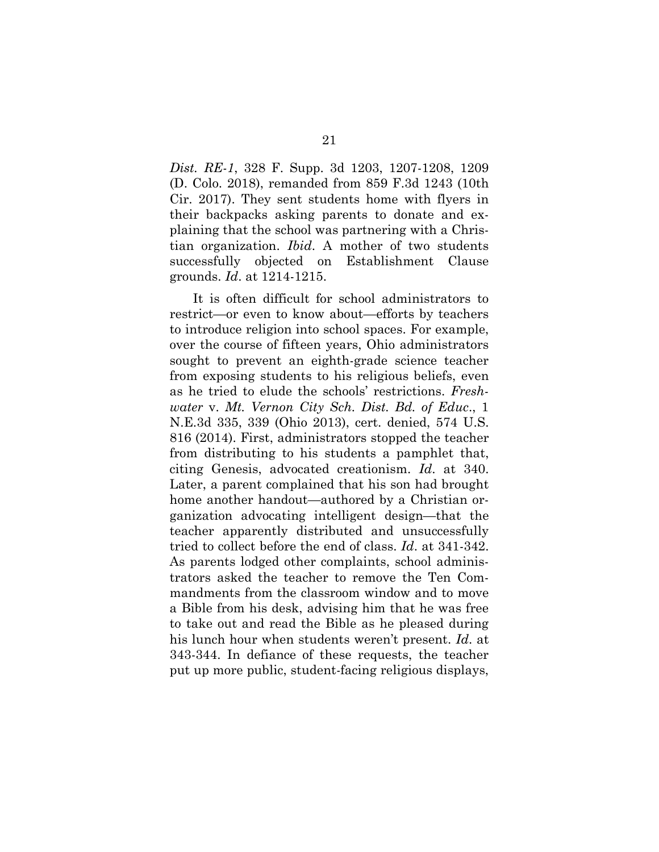*Dist. RE-1*, 328 F. Supp. 3d 1203, 1207-1208, 1209 (D. Colo. 2018), remanded from 859 F.3d 1243 (10th Cir. 2017). They sent students home with flyers in their backpacks asking parents to donate and explaining that the school was partnering with a Christian organization. *Ibid*. A mother of two students successfully objected on Establishment Clause grounds. *Id*. at 1214-1215.

<span id="page-28-1"></span><span id="page-28-0"></span>It is often difficult for school administrators to restrict—or even to know about—efforts by teachers to introduce religion into school spaces. For example, over the course of fifteen years, Ohio administrators sought to prevent an eighth-grade science teacher from exposing students to his religious beliefs, even as he tried to elude the schools' restrictions. *Freshwater* v. *Mt. Vernon City Sch. Dist. Bd. of Educ*., 1 N.E.3d 335, 339 (Ohio 2013), cert. denied, 574 U.S. 816 (2014). First, administrators stopped the teacher from distributing to his students a pamphlet that, citing Genesis, advocated creationism. *Id*. at 340. Later, a parent complained that his son had brought home another handout—authored by a Christian organization advocating intelligent design—that the teacher apparently distributed and unsuccessfully tried to collect before the end of class. *Id*. at 341-342. As parents lodged other complaints, school administrators asked the teacher to remove the Ten Commandments from the classroom window and to move a Bible from his desk, advising him that he was free to take out and read the Bible as he pleased during his lunch hour when students weren't present. *Id*. at 343-344. In defiance of these requests, the teacher put up more public, student-facing religious displays,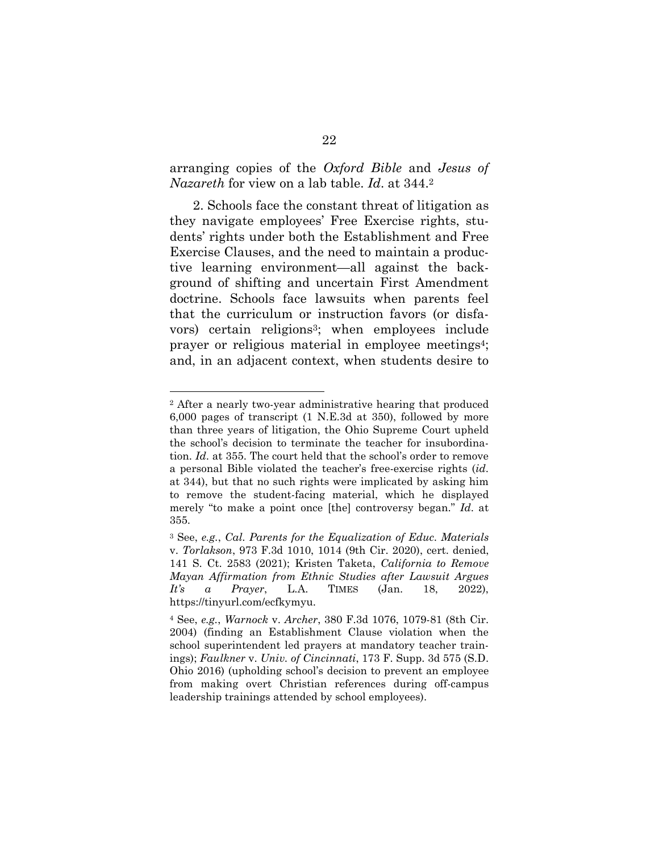## <span id="page-29-2"></span>arranging copies of the *Oxford Bible* and *Jesus of Nazareth* for view on a lab table. *Id*. at 344.<sup>2</sup>

2. Schools face the constant threat of litigation as they navigate employees' Free Exercise rights, students' rights under both the Establishment and Free Exercise Clauses, and the need to maintain a productive learning environment—all against the background of shifting and uncertain First Amendment doctrine. Schools face lawsuits when parents feel that the curriculum or instruction favors (or disfavors) certain religions3; when employees include prayer or religious material in employee meetings4; and, in an adjacent context, when students desire to

l

<sup>2</sup> After a nearly two-year administrative hearing that produced 6,000 pages of transcript (1 N.E.3d at 350), followed by more than three years of litigation, the Ohio Supreme Court upheld the school's decision to terminate the teacher for insubordination. *Id*. at 355. The court held that the school's order to remove a personal Bible violated the teacher's free-exercise rights (*id*. at 344), but that no such rights were implicated by asking him to remove the student-facing material, which he displayed merely "to make a point once [the] controversy began." *Id*. at 355.

<span id="page-29-4"></span><span id="page-29-0"></span><sup>3</sup> See, *e.g.*, *Cal. Parents for the Equalization of Educ. Materials* v. *Torlakson*, 973 F.3d 1010, 1014 (9th Cir. 2020), cert. denied, 141 S. Ct. 2583 (2021); Kristen Taketa, *California to Remove Mayan Affirmation from Ethnic Studies after Lawsuit Argues It's a Prayer*, L.A. TIMES (Jan. 18, 2022), https://tinyurl.com/ecfkymyu.

<span id="page-29-3"></span><span id="page-29-1"></span><sup>4</sup> See, *e.g.*, *Warnock* v. *Archer*, 380 F.3d 1076, 1079-81 (8th Cir. 2004) (finding an Establishment Clause violation when the school superintendent led prayers at mandatory teacher trainings); *Faulkner* v. *Univ. of Cincinnati*, 173 F. Supp. 3d 575 (S.D. Ohio 2016) (upholding school's decision to prevent an employee from making overt Christian references during off-campus leadership trainings attended by school employees).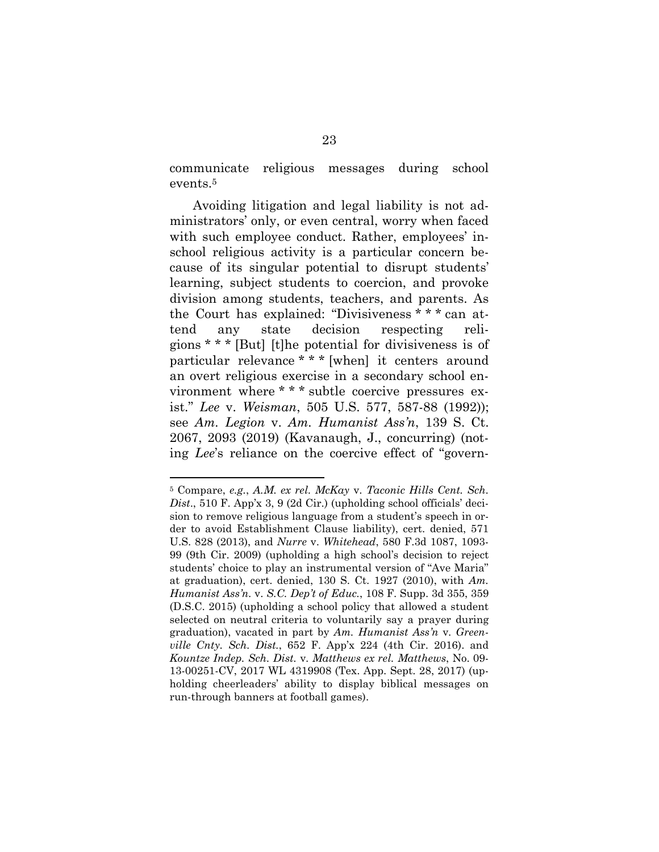communicate religious messages during school events.<sup>5</sup>

Avoiding litigation and legal liability is not administrators' only, or even central, worry when faced with such employee conduct. Rather, employees' inschool religious activity is a particular concern because of its singular potential to disrupt students' learning, subject students to coercion, and provoke division among students, teachers, and parents. As the Court has explained: "Divisiveness \* \* \* can attend any state decision respecting religions \* \* \* [But] [t]he potential for divisiveness is of particular relevance \* \* \* [when] it centers around an overt religious exercise in a secondary school environment where \* \* \* subtle coercive pressures exist." *Lee* v. *Weisman*, 505 U.S. 577, 587-88 (1992)); see *Am. Legion* v. *Am. Humanist Ass'n*, 139 S. Ct. 2067, 2093 (2019) (Kavanaugh, J., concurring) (noting *Lee*'s reliance on the coercive effect of "govern-

<span id="page-30-3"></span><span id="page-30-2"></span>l

<span id="page-30-4"></span><span id="page-30-1"></span><span id="page-30-0"></span><sup>5</sup> Compare, *e.g.*, *A.M. ex rel. McKay* v. *Taconic Hills Cent. Sch. Dist*., 510 F. App'x 3, 9 (2d Cir.) (upholding school officials' decision to remove religious language from a student's speech in order to avoid Establishment Clause liability), cert. denied, 571 U.S. 828 (2013), and *Nurre* v. *Whitehead*, 580 F.3d 1087, 1093- 99 (9th Cir. 2009) (upholding a high school's decision to reject students' choice to play an instrumental version of "Ave Maria" at graduation), cert. denied, 130 S. Ct. 1927 (2010), with *Am. Humanist Ass'n.* v. *S.C. Dep't of Educ.*, 108 F. Supp. 3d 355, 359 (D.S.C. 2015) (upholding a school policy that allowed a student selected on neutral criteria to voluntarily say a prayer during graduation), vacated in part by *Am. Humanist Ass'n* v*. Greenville Cnty. Sch. Dist.*, 652 F. App'x 224 (4th Cir. 2016). and *Kountze Indep. Sch. Dist.* v*. Matthews ex rel. Matthews*, No. 09- 13-00251-CV, 2017 WL 4319908 (Tex. App. Sept. 28, 2017) (upholding cheerleaders' ability to display biblical messages on run-through banners at football games).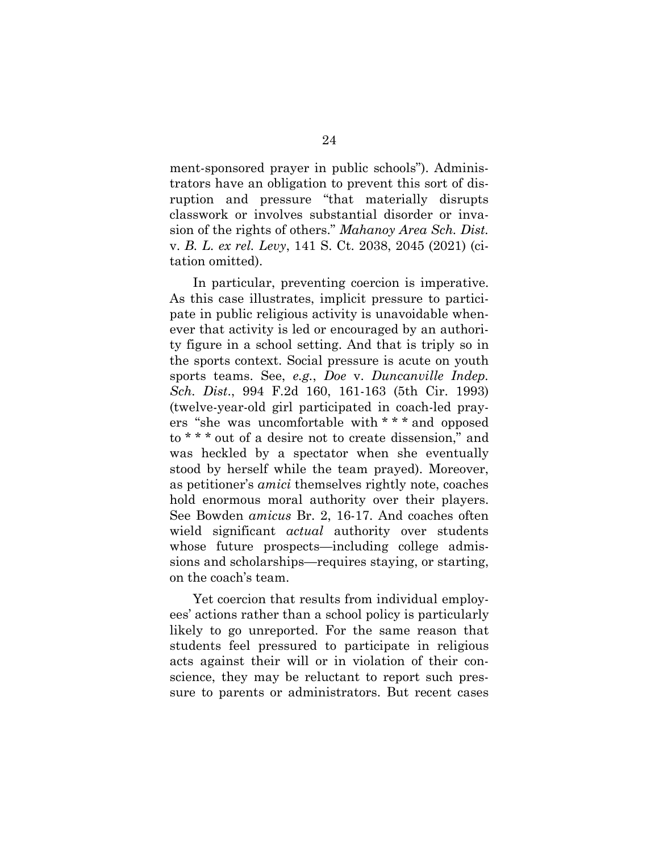ment-sponsored prayer in public schools"). Administrators have an obligation to prevent this sort of disruption and pressure "that materially disrupts classwork or involves substantial disorder or invasion of the rights of others." *Mahanoy Area Sch. Dist.*  v. *B. L. ex rel. Levy*, 141 S. Ct. 2038, 2045 (2021) (citation omitted).

<span id="page-31-1"></span><span id="page-31-0"></span>In particular, preventing coercion is imperative. As this case illustrates, implicit pressure to participate in public religious activity is unavoidable whenever that activity is led or encouraged by an authority figure in a school setting. And that is triply so in the sports context. Social pressure is acute on youth sports teams. See, *e.g.*, *Doe* v. *Duncanville Indep. Sch. Dist*., 994 F.2d 160, 161-163 (5th Cir. 1993) (twelve-year-old girl participated in coach-led prayers "she was uncomfortable with \* \* \* and opposed to \* \* \* out of a desire not to create dissension," and was heckled by a spectator when she eventually stood by herself while the team prayed). Moreover, as petitioner's *amici* themselves rightly note, coaches hold enormous moral authority over their players. See Bowden *amicus* Br. 2, 16-17. And coaches often wield significant *actual* authority over students whose future prospects—including college admissions and scholarships—requires staying, or starting, on the coach's team.

Yet coercion that results from individual employees' actions rather than a school policy is particularly likely to go unreported. For the same reason that students feel pressured to participate in religious acts against their will or in violation of their conscience, they may be reluctant to report such pressure to parents or administrators. But recent cases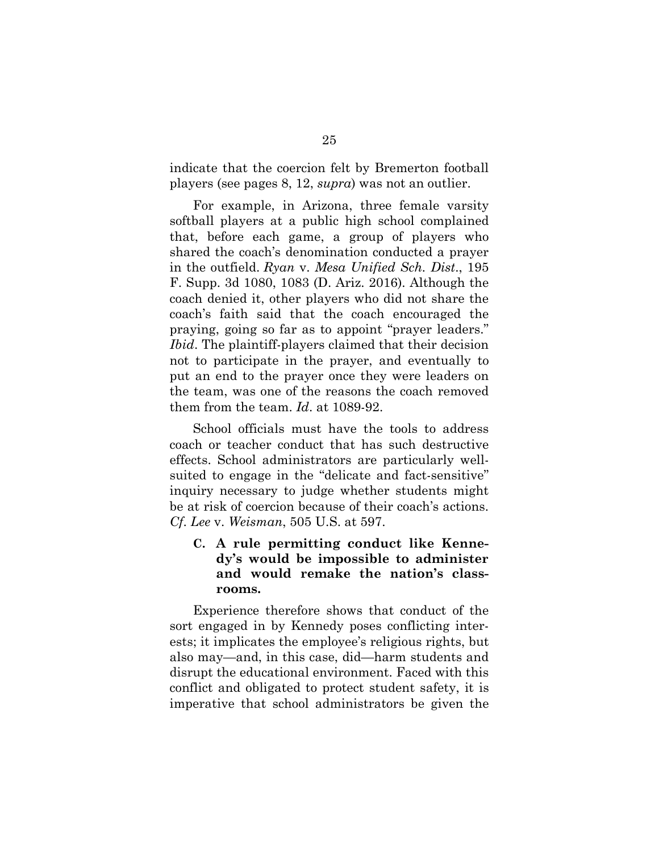indicate that the coercion felt by Bremerton football players (see pages 8, 12, *supra*) was not an outlier.

<span id="page-32-2"></span>For example, in Arizona, three female varsity softball players at a public high school complained that, before each game, a group of players who shared the coach's denomination conducted a prayer in the outfield. *Ryan* v. *Mesa Unified Sch. Dist*., 195 F. Supp. 3d 1080, 1083 (D. Ariz. 2016). Although the coach denied it, other players who did not share the coach's faith said that the coach encouraged the praying, going so far as to appoint "prayer leaders." *Ibid*. The plaintiff-players claimed that their decision not to participate in the prayer, and eventually to put an end to the prayer once they were leaders on the team, was one of the reasons the coach removed them from the team. *Id*. at 1089-92.

School officials must have the tools to address coach or teacher conduct that has such destructive effects. School administrators are particularly wellsuited to engage in the "delicate and fact-sensitive" inquiry necessary to judge whether students might be at risk of coercion because of their coach's actions. *Cf*. *Lee* v. *Weisman*, 505 U.S. at 597.

## <span id="page-32-1"></span><span id="page-32-0"></span>**C. A rule permitting conduct like Kennedy's would be impossible to administer and would remake the nation's classrooms.**

Experience therefore shows that conduct of the sort engaged in by Kennedy poses conflicting interests; it implicates the employee's religious rights, but also may—and, in this case, did—harm students and disrupt the educational environment. Faced with this conflict and obligated to protect student safety, it is imperative that school administrators be given the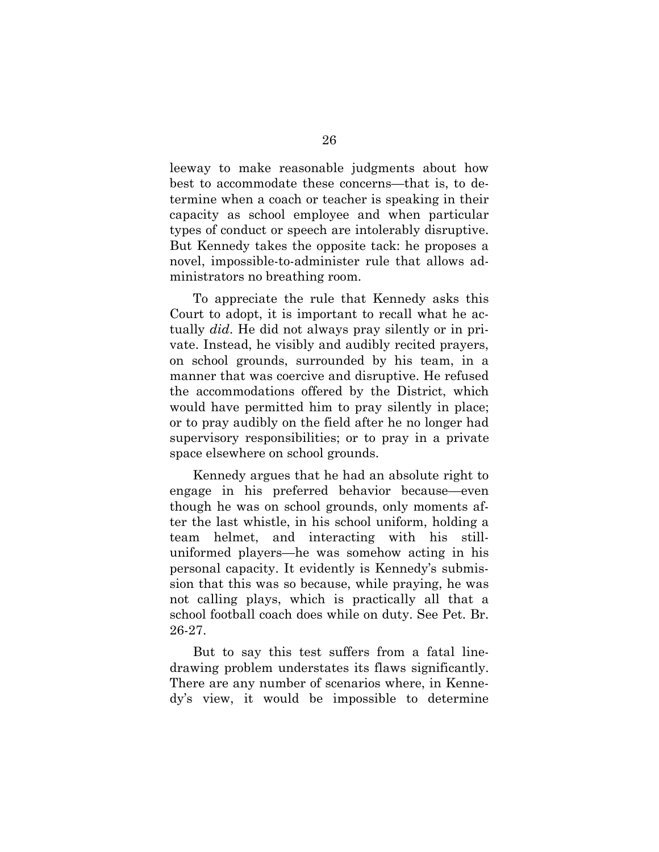leeway to make reasonable judgments about how best to accommodate these concerns—that is, to determine when a coach or teacher is speaking in their capacity as school employee and when particular types of conduct or speech are intolerably disruptive. But Kennedy takes the opposite tack: he proposes a novel, impossible-to-administer rule that allows administrators no breathing room.

To appreciate the rule that Kennedy asks this Court to adopt, it is important to recall what he actually *did*. He did not always pray silently or in private. Instead, he visibly and audibly recited prayers, on school grounds, surrounded by his team, in a manner that was coercive and disruptive. He refused the accommodations offered by the District, which would have permitted him to pray silently in place; or to pray audibly on the field after he no longer had supervisory responsibilities; or to pray in a private space elsewhere on school grounds.

Kennedy argues that he had an absolute right to engage in his preferred behavior because—even though he was on school grounds, only moments after the last whistle, in his school uniform, holding a team helmet, and interacting with his stilluniformed players—he was somehow acting in his personal capacity. It evidently is Kennedy's submission that this was so because, while praying, he was not calling plays, which is practically all that a school football coach does while on duty. See Pet. Br. 26-27.

But to say this test suffers from a fatal linedrawing problem understates its flaws significantly. There are any number of scenarios where, in Kennedy's view, it would be impossible to determine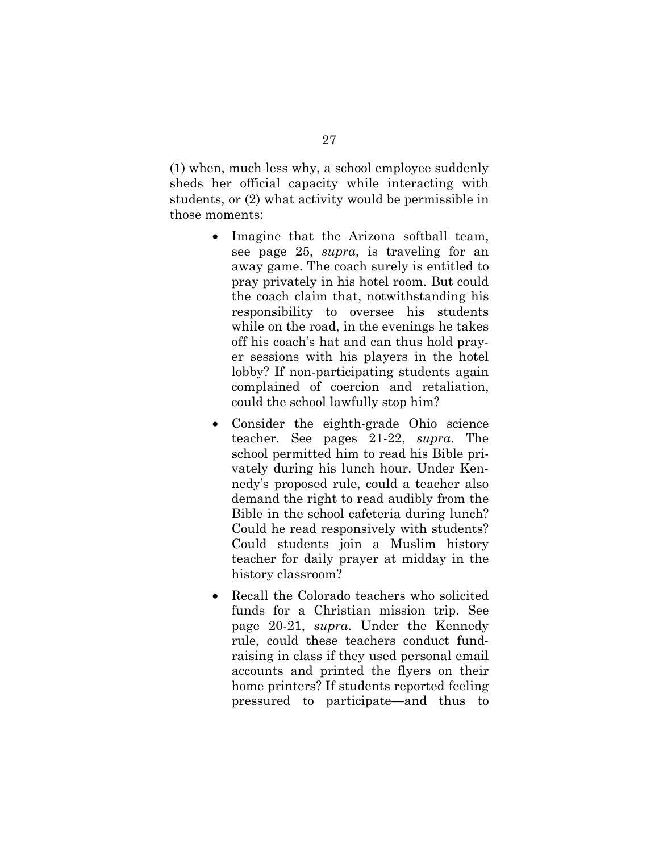(1) when, much less why, a school employee suddenly sheds her official capacity while interacting with students, or (2) what activity would be permissible in those moments:

- Imagine that the Arizona softball team, see page 25, *supra*, is traveling for an away game. The coach surely is entitled to pray privately in his hotel room. But could the coach claim that, notwithstanding his responsibility to oversee his students while on the road, in the evenings he takes off his coach's hat and can thus hold prayer sessions with his players in the hotel lobby? If non-participating students again complained of coercion and retaliation, could the school lawfully stop him?
- Consider the eighth-grade Ohio science teacher. See pages 21-22, *supra*. The school permitted him to read his Bible privately during his lunch hour. Under Kennedy's proposed rule, could a teacher also demand the right to read audibly from the Bible in the school cafeteria during lunch? Could he read responsively with students? Could students join a Muslim history teacher for daily prayer at midday in the history classroom?
- Recall the Colorado teachers who solicited funds for a Christian mission trip. See page 20-21, *supra*. Under the Kennedy rule, could these teachers conduct fundraising in class if they used personal email accounts and printed the flyers on their home printers? If students reported feeling pressured to participate—and thus to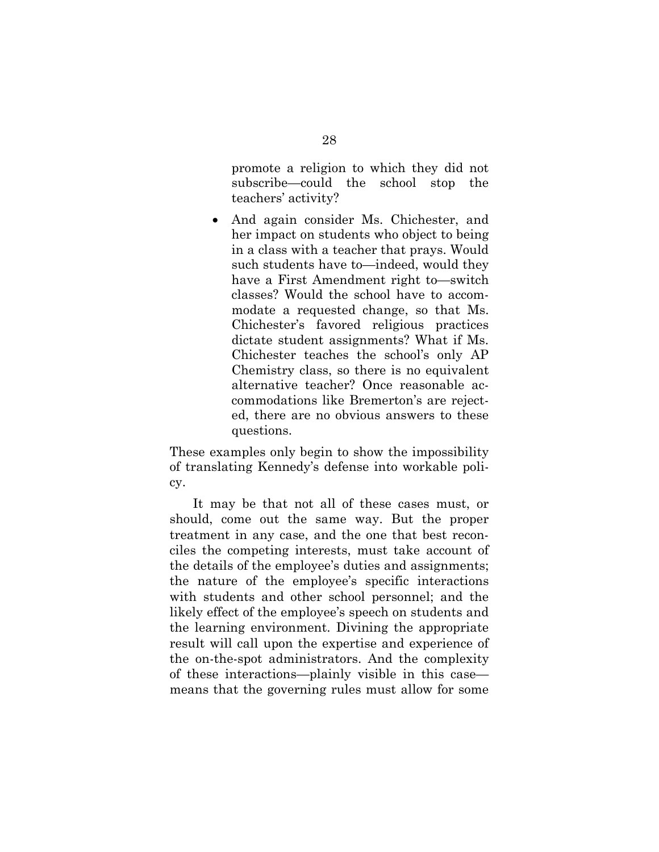promote a religion to which they did not subscribe—could the school stop the teachers' activity?

• And again consider Ms. Chichester, and her impact on students who object to being in a class with a teacher that prays. Would such students have to—indeed, would they have a First Amendment right to—switch classes? Would the school have to accommodate a requested change, so that Ms. Chichester's favored religious practices dictate student assignments? What if Ms. Chichester teaches the school's only AP Chemistry class, so there is no equivalent alternative teacher? Once reasonable accommodations like Bremerton's are rejected, there are no obvious answers to these questions.

These examples only begin to show the impossibility of translating Kennedy's defense into workable policy.

It may be that not all of these cases must, or should, come out the same way. But the proper treatment in any case, and the one that best reconciles the competing interests, must take account of the details of the employee's duties and assignments; the nature of the employee's specific interactions with students and other school personnel; and the likely effect of the employee's speech on students and the learning environment. Divining the appropriate result will call upon the expertise and experience of the on-the-spot administrators. And the complexity of these interactions—plainly visible in this case means that the governing rules must allow for some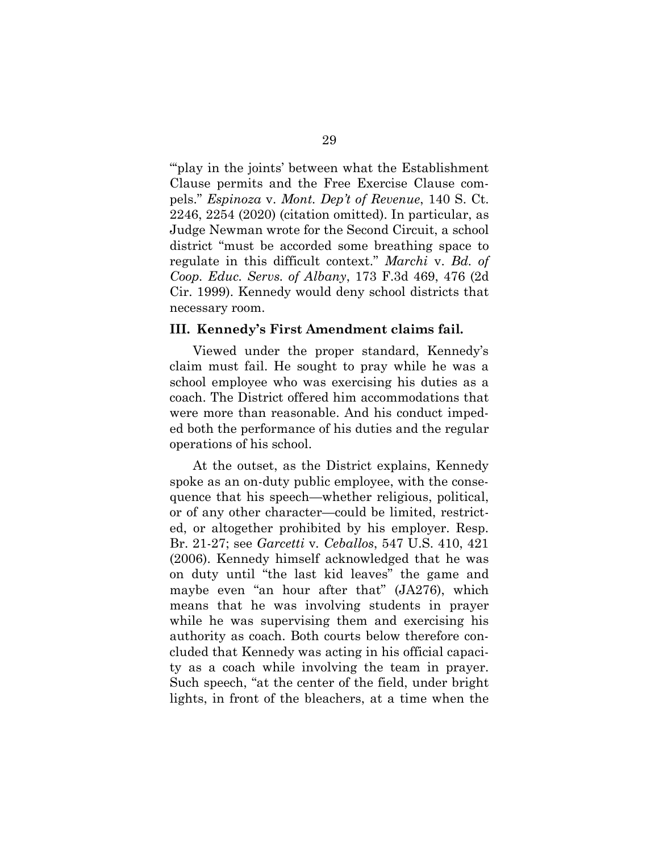<span id="page-36-1"></span>""play in the joints' between what the Establishment" Clause permits and the Free Exercise Clause compels." *Espinoza* v. *Mont. Dep't of Revenue*, 140 S. Ct. 2246, 2254 (2020) (citation omitted). In particular, as Judge Newman wrote for the Second Circuit, a school district "must be accorded some breathing space to regulate in this difficult context." *Marchi* v. *Bd. of Coop. Educ. Servs. of Albany*, 173 F.3d 469, 476 (2d Cir. 1999). Kennedy would deny school districts that necessary room.

#### <span id="page-36-3"></span><span id="page-36-0"></span>**III. Kennedy's First Amendment claims fail.**

Viewed under the proper standard, Kennedy's claim must fail. He sought to pray while he was a school employee who was exercising his duties as a coach. The District offered him accommodations that were more than reasonable. And his conduct impeded both the performance of his duties and the regular operations of his school.

<span id="page-36-2"></span>At the outset, as the District explains, Kennedy spoke as an on-duty public employee, with the consequence that his speech—whether religious, political, or of any other character—could be limited, restricted, or altogether prohibited by his employer. Resp. Br. 21-27; see *Garcetti* v*. Ceballos*, 547 U.S. 410, 421 (2006). Kennedy himself acknowledged that he was on duty until "the last kid leaves" the game and maybe even "an hour after that" (JA276), which means that he was involving students in prayer while he was supervising them and exercising his authority as coach. Both courts below therefore concluded that Kennedy was acting in his official capacity as a coach while involving the team in prayer. Such speech, "at the center of the field, under bright lights, in front of the bleachers, at a time when the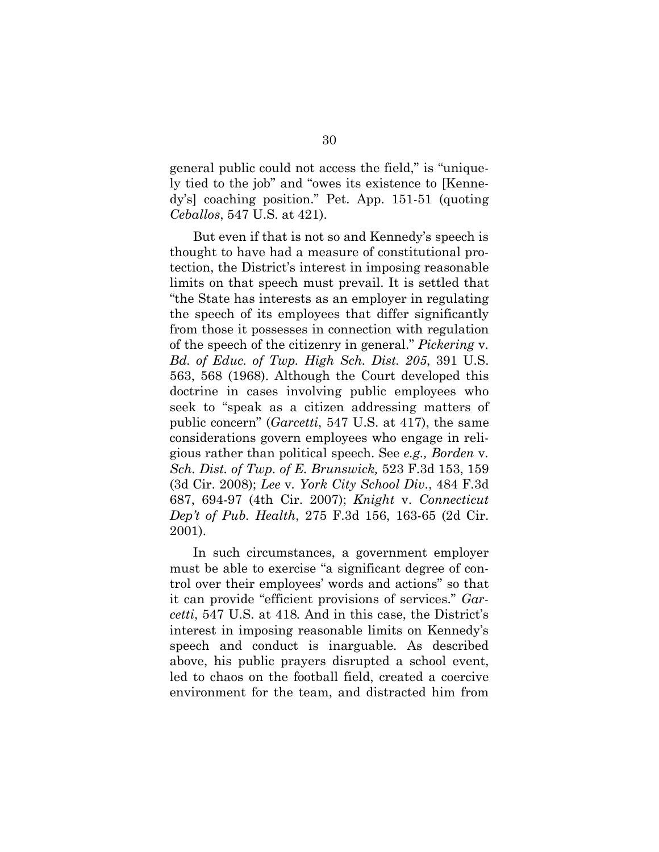general public could not access the field," is "uniquely tied to the job" and "owes its existence to [Kennedy's] coaching position." Pet. App. 151-51 (quoting *Ceballos*, 547 U.S. at 421).

<span id="page-37-4"></span>But even if that is not so and Kennedy's speech is thought to have had a measure of constitutional protection, the District's interest in imposing reasonable limits on that speech must prevail. It is settled that "the State has interests as an employer in regulating the speech of its employees that differ significantly from those it possesses in connection with regulation of the speech of the citizenry in general." *Pickering* v*. Bd. of Educ. of Twp. High Sch. Dist. 205*, 391 U.S. 563, 568 (1968). Although the Court developed this doctrine in cases involving public employees who seek to "speak as a citizen addressing matters of public concern" (*Garcetti*, 547 U.S. at 417), the same considerations govern employees who engage in religious rather than political speech. See *e.g., Borden* v*. Sch. Dist. of Twp. of E. Brunswick,* 523 F.3d 153, 159 (3d Cir. 2008); *Lee* v*. York City School Div*., 484 F.3d 687, 694-97 (4th Cir. 2007); *Knight* v. *Connecticut Dep't of Pub. Health*, 275 F.3d 156, 163-65 (2d Cir. 2001).

<span id="page-37-3"></span><span id="page-37-2"></span><span id="page-37-1"></span><span id="page-37-0"></span>In such circumstances, a government employer must be able to exercise "a significant degree of control over their employees' words and actions" so that it can provide "efficient provisions of services." *Garcetti*, 547 U.S. at 418*.* And in this case, the District's interest in imposing reasonable limits on Kennedy's speech and conduct is inarguable. As described above, his public prayers disrupted a school event, led to chaos on the football field, created a coercive environment for the team, and distracted him from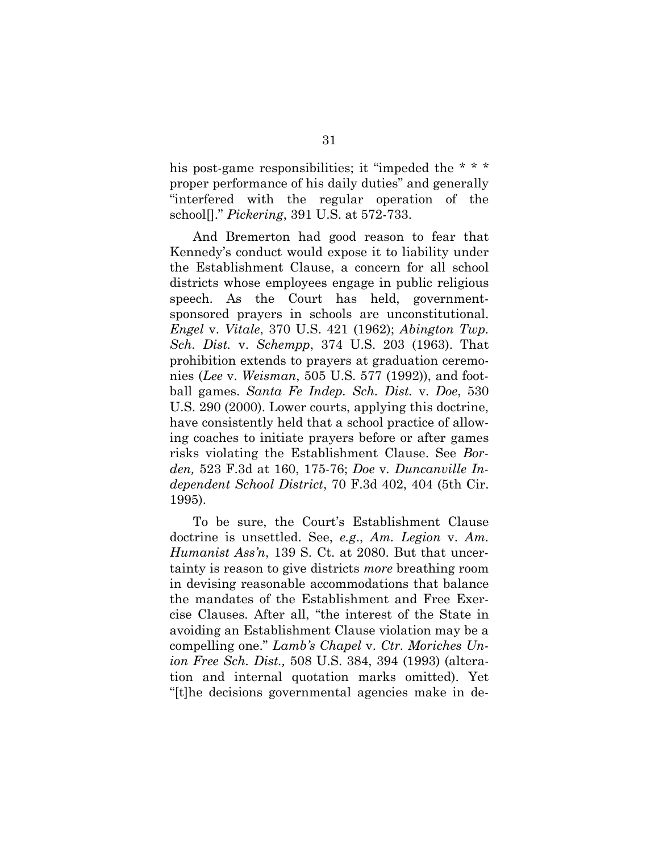his post-game responsibilities; it "impeded the \* \* \* proper performance of his daily duties" and generally "interfered with the regular operation of the school[]." *Pickering*, 391 U.S. at 572-733.

<span id="page-38-7"></span><span id="page-38-6"></span><span id="page-38-4"></span><span id="page-38-0"></span>And Bremerton had good reason to fear that Kennedy's conduct would expose it to liability under the Establishment Clause, a concern for all school districts whose employees engage in public religious speech. As the Court has held, governmentsponsored prayers in schools are unconstitutional. *Engel* v. *Vitale*, 370 U.S. 421 (1962); *Abington Twp. Sch. Dist.* v. *Schempp*, 374 U.S. 203 (1963). That prohibition extends to prayers at graduation ceremonies (*Lee* v. *Weisman*, 505 U.S. 577 (1992)), and football games. *Santa Fe Indep. Sch. Dist.* v. *Doe*, 530 U.S. 290 (2000). Lower courts, applying this doctrine, have consistently held that a school practice of allowing coaches to initiate prayers before or after games risks violating the Establishment Clause. See *Borden,* 523 F.3d at 160, 175-76; *Doe* v*. Duncanville Independent School District*, 70 F.3d 402, 404 (5th Cir. 1995).

<span id="page-38-8"></span><span id="page-38-5"></span><span id="page-38-3"></span><span id="page-38-2"></span><span id="page-38-1"></span>To be sure, the Court's Establishment Clause doctrine is unsettled. See, *e.g*., *Am. Legion* v. *Am. Humanist Ass'n*, 139 S. Ct. at 2080. But that uncertainty is reason to give districts *more* breathing room in devising reasonable accommodations that balance the mandates of the Establishment and Free Exercise Clauses. After all, "the interest of the State in avoiding an Establishment Clause violation may be a compelling one." *Lamb's Chapel* v. *Ctr. Moriches Union Free Sch. Dist.,* 508 U.S. 384, 394 (1993) (alteration and internal quotation marks omitted). Yet "[t]he decisions governmental agencies make in de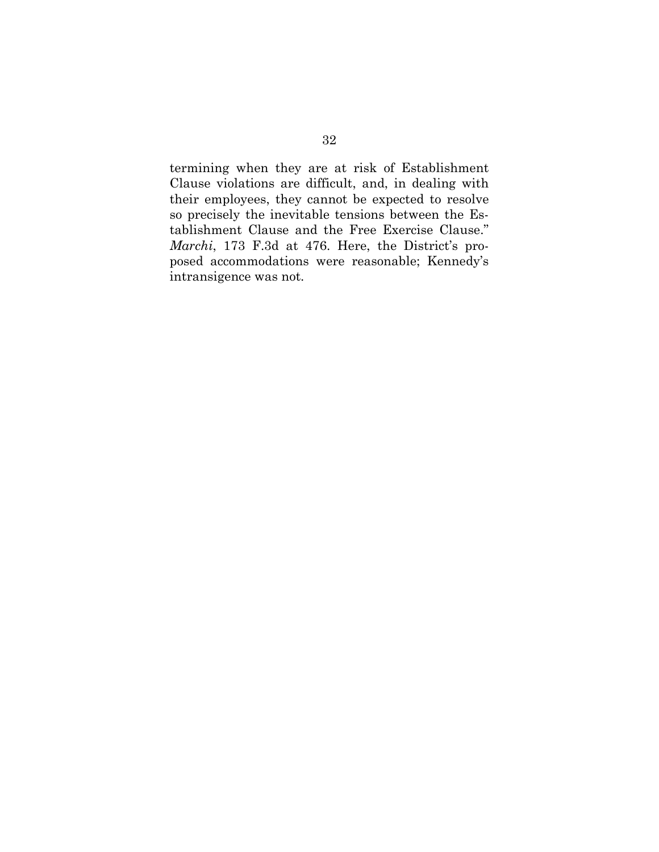<span id="page-39-0"></span>termining when they are at risk of Establishment Clause violations are difficult, and, in dealing with their employees, they cannot be expected to resolve so precisely the inevitable tensions between the Establishment Clause and the Free Exercise Clause." *Marchi*, 173 F.3d at 476. Here, the District's proposed accommodations were reasonable; Kennedy's intransigence was not.